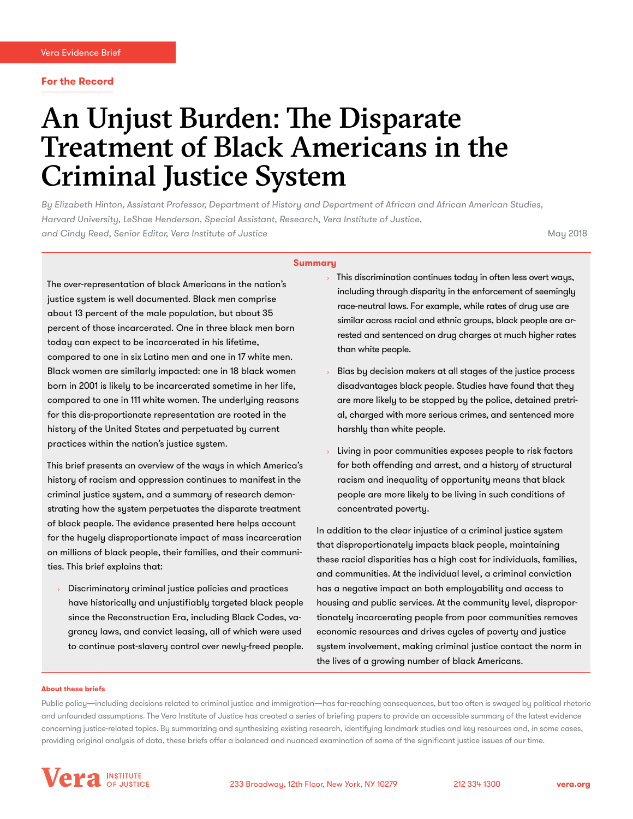### **For the Record**

# An Unjust Burden: The Disparate Treatment of Black Americans in the Criminal Justice System

*By Elizabeth Hinton, Assistant Professor, Department of History and Department of African and African American Studies, Harvard University, LeShae Henderson, Special Assistant, Research, Vera Institute of Justice, and Cindy Reed, Senior Editor, Vera Institute of Justice* May 2018

### **Summary**

The over-representation of black Americans in the nation's justice system is well documented. Black men comprise about 13 percent of the male population, but about 35 percent of those incarcerated. One in three black men born today can expect to be incarcerated in his lifetime, compared to one in six Latino men and one in 17 white men. Black women are similarly impacted: one in 18 black women born in 2001 is likely to be incarcerated sometime in her life, compared to one in 111 white women. The underlying reasons for this dis-proportionate representation are rooted in the history of the United States and perpetuated by current practices within the nation's justice system.

This brief presents an overview of the ways in which America's history of racism and oppression continues to manifest in the criminal justice system, and a summary of research demonstrating how the system perpetuates the disparate treatment of black people. The evidence presented here helps account for the hugely disproportionate impact of mass incarceration on millions of black people, their families, and their communities. This brief explains that:

Discriminatory criminal justice policies and practices have historically and unjustifiably targeted black people since the Reconstruction Era, including Black Codes, vagrancy laws, and convict leasing, all of which were used to continue post-slavery control over newly-freed people.

- $\rightarrow$  This discrimination continues today in often less overt ways, including through disparity in the enforcement of seemingly race-neutral laws. For example, while rates of drug use are similar across racial and ethnic groups, black people are arrested and sentenced on drug charges at much higher rates than white people.
- Bias by decision makers at all stages of the justice process disadvantages black people. Studies have found that they are more likely to be stopped by the police, detained pretrial, charged with more serious crimes, and sentenced more harshly than white people.
- Living in poor communities exposes people to risk factors for both offending and arrest, and a history of structural racism and inequality of opportunity means that black people are more likely to be living in such conditions of concentrated poverty.

In addition to the clear injustice of a criminal justice system that disproportionately impacts black people, maintaining these racial disparities has a high cost for individuals, families, and communities. At the individual level, a criminal conviction has a negative impact on both employability and access to housing and public services. At the community level, disproportionately incarcerating people from poor communities removes economic resources and drives cycles of poverty and justice system involvement, making criminal justice contact the norm in the lives of a growing number of black Americans.

#### **About these briefs**

Public policy—including decisions related to criminal justice and immigration—has far-reaching consequences, but too often is swayed by political rhetoric and unfounded assumptions. The Vera Institute of Justice has created a series of briefing papers to provide an accessible summary of the latest evidence concerning justice-related topics. By summarizing and synthesizing existing research, identifying landmark studies and key resources and, in some cases, providing original analysis of data, these briefs offer a balanced and nuanced examination of some of the significant justice issues of our time.

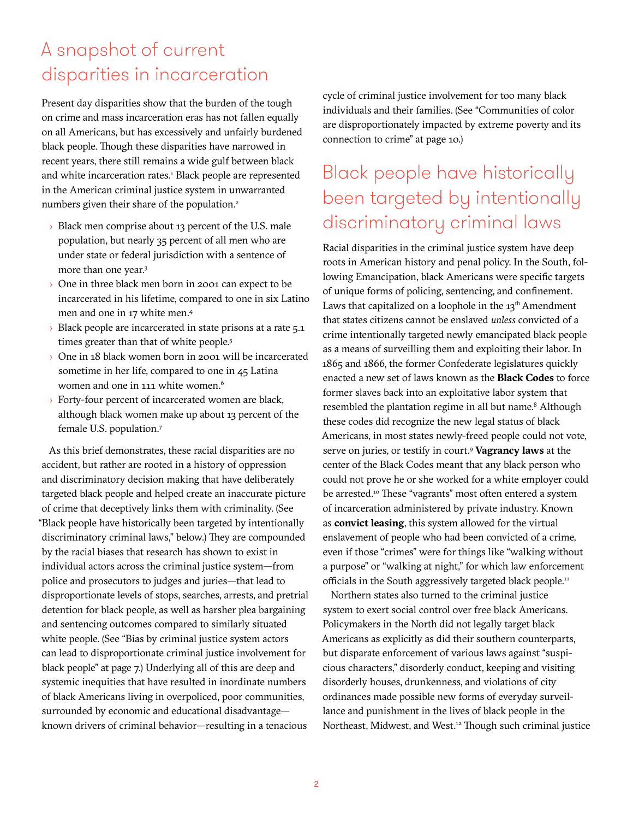## A snapshot of current disparities in incarceration

Present day disparities show that the burden of the tough on crime and mass incarceration eras has not fallen equally on all Americans, but has excessively and unfairly burdened black people. Though these disparities have narrowed in recent years, there still remains a wide gulf between black and white incarceration rates.<sup>1</sup> Black people are represented in the American criminal justice system in unwarranted numbers given their share of the population.<sup>2</sup>

- › Black men comprise about 13 percent of the U.S. male population, but nearly 35 percent of all men who are under state or federal jurisdiction with a sentence of more than one year.3
- One in three black men born in 2001 can expect to be incarcerated in his lifetime, compared to one in six Latino men and one in 17 white men.4
- $\rightarrow$  Black people are incarcerated in state prisons at a rate  $5.1$ times greater than that of white people.<sup>5</sup>
- › One in 18 black women born in 2001 will be incarcerated sometime in her life, compared to one in 45 Latina women and one in 111 white women.<sup>6</sup>
- › Forty-four percent of incarcerated women are black, although black women make up about 13 percent of the female U.S. population.7

As this brief demonstrates, these racial disparities are no accident, but rather are rooted in a history of oppression and discriminatory decision making that have deliberately targeted black people and helped create an inaccurate picture of crime that deceptively links them with criminality. (See "Black people have historically been targeted by intentionally discriminatory criminal laws," below.) They are compounded by the racial biases that research has shown to exist in individual actors across the criminal justice system—from police and prosecutors to judges and juries—that lead to disproportionate levels of stops, searches, arrests, and pretrial detention for black people, as well as harsher plea bargaining and sentencing outcomes compared to similarly situated white people. (See "Bias by criminal justice system actors can lead to disproportionate criminal justice involvement for black people" at page 7.) Underlying all of this are deep and systemic inequities that have resulted in inordinate numbers of black Americans living in overpoliced, poor communities, surrounded by economic and educational disadvantage known drivers of criminal behavior—resulting in a tenacious

cycle of criminal justice involvement for too many black individuals and their families. (See "Communities of color are disproportionately impacted by extreme poverty and its connection to crime" at page 10.)

## Black people have historically been targeted by intentionally discriminatory criminal laws

Racial disparities in the criminal justice system have deep roots in American history and penal policy. In the South, following Emancipation, black Americans were specific targets of unique forms of policing, sentencing, and confinement. Laws that capitalized on a loophole in the  $13<sup>th</sup>$  Amendment that states citizens cannot be enslaved *unless* convicted of a crime intentionally targeted newly emancipated black people as a means of surveilling them and exploiting their labor. In 1865 and 1866, the former Confederate legislatures quickly enacted a new set of laws known as the **Black Codes** to force former slaves back into an exploitative labor system that resembled the plantation regime in all but name.<sup>8</sup> Although these codes did recognize the new legal status of black Americans, in most states newly-freed people could not vote, serve on juries, or testify in court.9 **Vagrancy laws** at the center of the Black Codes meant that any black person who could not prove he or she worked for a white employer could be arrested.<sup>10</sup> These "vagrants" most often entered a system of incarceration administered by private industry. Known as **convict leasing**, this system allowed for the virtual enslavement of people who had been convicted of a crime, even if those "crimes" were for things like "walking without a purpose" or "walking at night," for which law enforcement officials in the South aggressively targeted black people.<sup>11</sup>

Northern states also turned to the criminal justice system to exert social control over free black Americans. Policymakers in the North did not legally target black Americans as explicitly as did their southern counterparts, but disparate enforcement of various laws against "suspicious characters," disorderly conduct, keeping and visiting disorderly houses, drunkenness, and violations of city ordinances made possible new forms of everyday surveillance and punishment in the lives of black people in the Northeast, Midwest, and West.<sup>12</sup> Though such criminal justice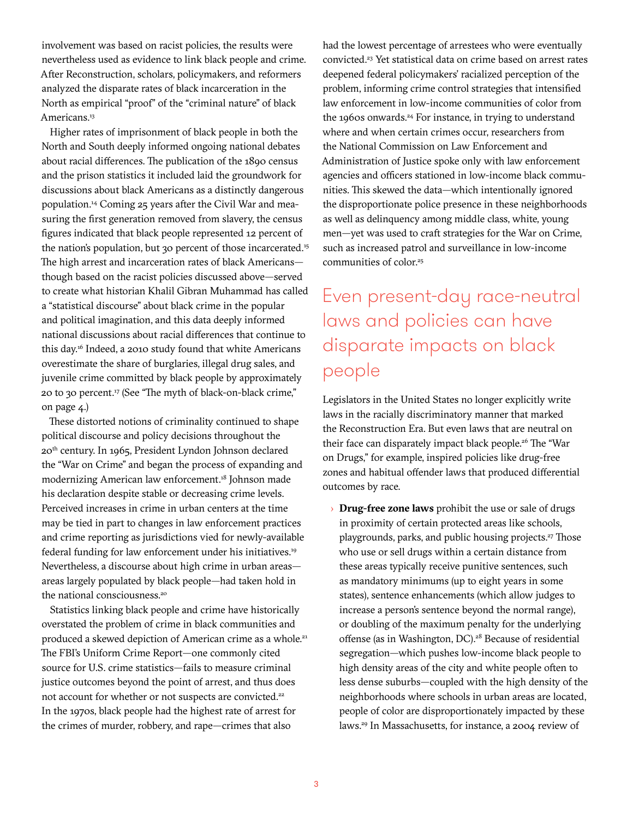involvement was based on racist policies, the results were nevertheless used as evidence to link black people and crime. After Reconstruction, scholars, policymakers, and reformers analyzed the disparate rates of black incarceration in the North as empirical "proof" of the "criminal nature" of black Americans.<sup>13</sup>

Higher rates of imprisonment of black people in both the North and South deeply informed ongoing national debates about racial differences. The publication of the 1890 census and the prison statistics it included laid the groundwork for discussions about black Americans as a distinctly dangerous population.14 Coming 25 years after the Civil War and measuring the first generation removed from slavery, the census figures indicated that black people represented 12 percent of the nation's population, but 30 percent of those incarcerated.15 The high arrest and incarceration rates of black Americans though based on the racist policies discussed above—served to create what historian Khalil Gibran Muhammad has called a "statistical discourse" about black crime in the popular and political imagination, and this data deeply informed national discussions about racial differences that continue to this day.16 Indeed, a 2010 study found that white Americans overestimate the share of burglaries, illegal drug sales, and juvenile crime committed by black people by approximately 20 to 30 percent.17 (See "The myth of black-on-black crime," on page 4.)

These distorted notions of criminality continued to shape political discourse and policy decisions throughout the 20th century. In 1965, President Lyndon Johnson declared the "War on Crime" and began the process of expanding and modernizing American law enforcement.18 Johnson made his declaration despite stable or decreasing crime levels. Perceived increases in crime in urban centers at the time may be tied in part to changes in law enforcement practices and crime reporting as jurisdictions vied for newly-available federal funding for law enforcement under his initiatives.19 Nevertheless, a discourse about high crime in urban areas areas largely populated by black people—had taken hold in the national consciousness.<sup>20</sup>

Statistics linking black people and crime have historically overstated the problem of crime in black communities and produced a skewed depiction of American crime as a whole.<sup>21</sup> The FBI's Uniform Crime Report—one commonly cited source for U.S. crime statistics—fails to measure criminal justice outcomes beyond the point of arrest, and thus does not account for whether or not suspects are convicted.<sup>22</sup> In the 1970s, black people had the highest rate of arrest for the crimes of murder, robbery, and rape—crimes that also

had the lowest percentage of arrestees who were eventually convicted.<sup>23</sup> Yet statistical data on crime based on arrest rates deepened federal policymakers' racialized perception of the problem, informing crime control strategies that intensified law enforcement in low-income communities of color from the 1960s onwards.<sup>24</sup> For instance, in trying to understand where and when certain crimes occur, researchers from the National Commission on Law Enforcement and Administration of Justice spoke only with law enforcement agencies and officers stationed in low-income black communities. This skewed the data—which intentionally ignored the disproportionate police presence in these neighborhoods as well as delinquency among middle class, white, young men—yet was used to craft strategies for the War on Crime, such as increased patrol and surveillance in low-income communities of color.<sup>25</sup>

## Even present-day race-neutral laws and policies can have disparate impacts on black people

Legislators in the United States no longer explicitly write laws in the racially discriminatory manner that marked the Reconstruction Era. But even laws that are neutral on their face can disparately impact black people.<sup>26</sup> The "War on Drugs," for example, inspired policies like drug-free zones and habitual offender laws that produced differential outcomes by race.

› **Drug-free zone laws** prohibit the use or sale of drugs in proximity of certain protected areas like schools, playgrounds, parks, and public housing projects.<sup>27</sup> Those who use or sell drugs within a certain distance from these areas typically receive punitive sentences, such as mandatory minimums (up to eight years in some states), sentence enhancements (which allow judges to increase a person's sentence beyond the normal range), or doubling of the maximum penalty for the underlying offense (as in Washington, DC).<sup>28</sup> Because of residential segregation—which pushes low-income black people to high density areas of the city and white people often to less dense suburbs—coupled with the high density of the neighborhoods where schools in urban areas are located, people of color are disproportionately impacted by these laws.29 In Massachusetts, for instance, a 2004 review of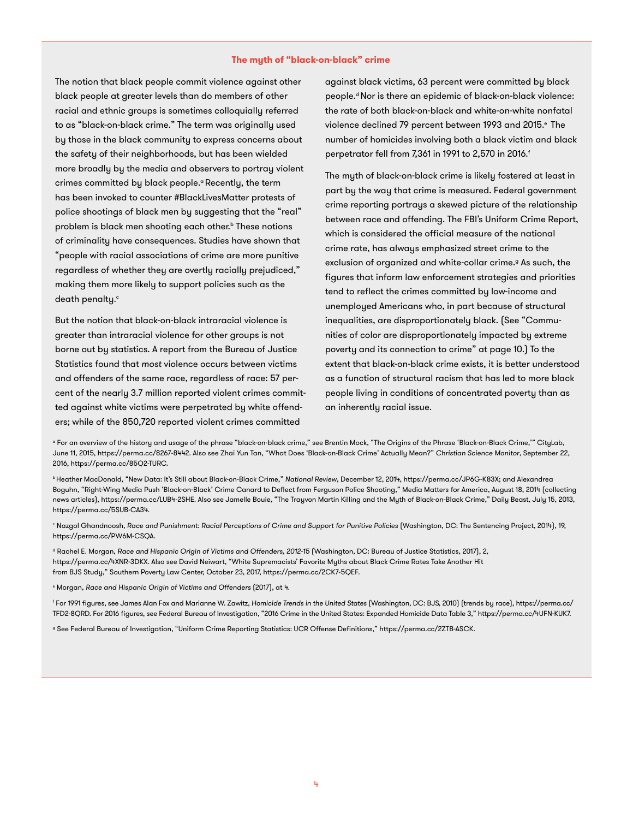#### **The myth of "black-on-black" crime**

The notion that black people commit violence against other black people at greater levels than do members of other racial and ethnic groups is sometimes colloquially referred to as "black-on-black crime." The term was originally used by those in the black community to express concerns about the safety of their neighborhoods, but has been wielded more broadly by the media and observers to portray violent crimes committed by black people.<sup>d</sup> Recently, the term has been invoked to counter #BlackLivesMatter protests of police shootings of black men by suggesting that the "real" problem is black men shooting each other.<sup>b</sup> These notions of criminality have consequences. Studies have shown that "people with racial associations of crime are more punitive regardless of whether they are overtly racially prejudiced," making them more likely to support policies such as the death penalty.<sup>c</sup>

But the notion that black-on-black intraracial violence is greater than intraracial violence for other groups is not borne out by statistics. A report from the Bureau of Justice Statistics found that *most* violence occurs between victims and offenders of the same race, regardless of race: 57 percent of the nearly 3.7 million reported violent crimes committed against white victims were perpetrated by white offenders; while of the 850,720 reported violent crimes committed

against black victims, 63 percent were committed by black people.<sup>d</sup> Nor is there an epidemic of black-on-black violence: the rate of both black-on-black and white-on-white nonfatal violence declined 79 percent between 1993 and 2015.<sup>e</sup> The number of homicides involving both a black victim and black perpetrator fell from 7,361 in 1991 to 2,570 in 2016.<sup>f</sup>

The myth of black-on-black crime is likely fostered at least in part by the way that crime is measured. Federal government crime reporting portrays a skewed picture of the relationship between race and offending. The FBI's Uniform Crime Report, which is considered the official measure of the national crime rate, has always emphasized street crime to the exclusion of organized and white-collar crime.<sup>9</sup> As such, the figures that inform law enforcement strategies and priorities tend to reflect the crimes committed by low-income and unemployed Americans who, in part because of structural inequalities, are disproportionately black. (See "Communities of color are disproportionately impacted by extreme poverty and its connection to crime" at page 10.) To the extent that black-on-black crime exists, it is better understood as a function of structural racism that has led to more black people living in conditions of concentrated poverty than as an inherently racial issue.

a For an overview of the history and usage of the phrase "black-on-black crime," see Brentin Mock, "The Origins of the Phrase 'Black-on-Black Crime,'" CityLab, June 11, 2015, https://perma.cc/8267-8442. Also see Zhai Yun Tan, "What Does 'Black-on-Black Crime' Actually Mean?" *Christian Science Monitor*, September 22, 2016, https://perma.cc/85Q2-TURC.

b Heather MacDonald, "New Data: It's Still about Black-on-Black Crime," *National Review*, December 12, 2014, https://perma.cc/JP6G-K83X; and Alexandrea Boguhn, "Right-Wing Media Push 'Black-on-Black' Crime Canard to Deflect from Ferguson Police Shooting," Media Matters for America, August 18, 2014 (collecting news articles), https://perma.cc/LUB4-2SHE. Also see Jamelle Bouie, "The Trayvon Martin Killing and the Myth of Black-on-Black Crime," Daily Beast, July 15, 2013, https://perma.cc/5SUB-CA34.

<sup>e</sup> Nazgol Ghandnoosh, *Race and Punishment: Racial Perceptions of Crime and Support for Punitive Policies (Washington, DC: The Sentencing Project, 2014), 19,* https://perma.cc/PW6M-CSQA.

d Rachel E. Morgan, *Race and Hispanic Origin of Victims and Offenders, 2012-15* (Washington, DC: Bureau of Justice Statistics, 2017), 2, https://perma.cc/4XNR-3DKX. Also see David Neiwart, "White Supremacists' Favorite Myths about Black Crime Rates Take Another Hit from BJS Study," Southern Poverty Law Center, October 23, 2017, https://perma.cc/2CK7-5QEF.

e Morgan, *Race and Hispanic Origin of Victims and Offenders* (2017), at 4.

f For 1991 figures, see James Alan Fox and Marianne W. Zawitz, *Homicide Trends in the United States* (Washington, DC: BJS, 2010) (trends by race), https://perma.cc/ TFD2-8QRD. For 2016 figures, see Federal Bureau of Investigation, "2016 Crime in the United States: Expanded Homicide Data Table 3," https://perma.cc/4UFN-KUK7.

g See Federal Bureau of Investigation, "Uniform Crime Reporting Statistics: UCR Offense Definitions," https://perma.cc/2ZTB-ASCK.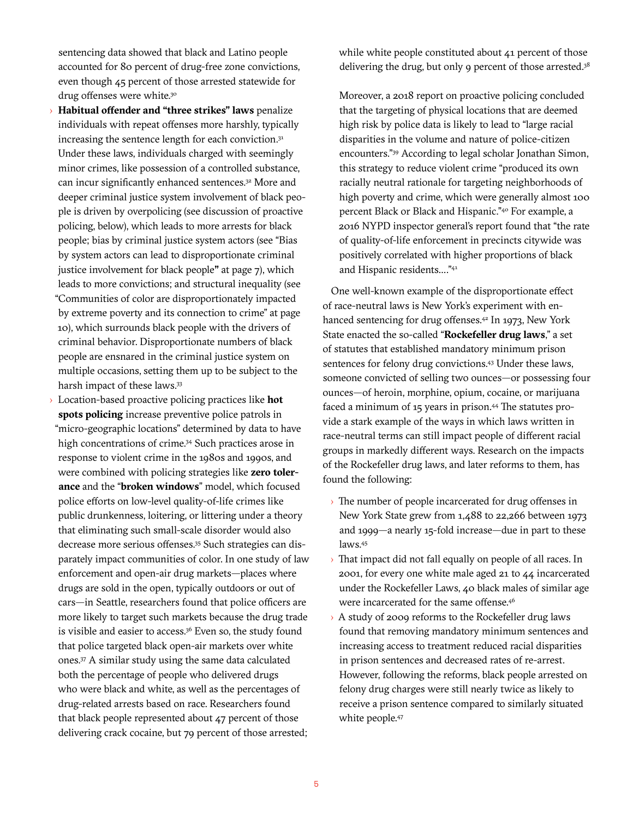sentencing data showed that black and Latino people accounted for 80 percent of drug-free zone convictions, even though 45 percent of those arrested statewide for drug offenses were white.<sup>30</sup>

- › **Habitual offender and "three strikes" laws** penalize individuals with repeat offenses more harshly, typically increasing the sentence length for each conviction.<sup>31</sup> Under these laws, individuals charged with seemingly minor crimes, like possession of a controlled substance, can incur significantly enhanced sentences.32 More and deeper criminal justice system involvement of black people is driven by overpolicing (see discussion of proactive policing, below), which leads to more arrests for black people; bias by criminal justice system actors (see "Bias by system actors can lead to disproportionate criminal justice involvement for black people**"** at page 7), which leads to more convictions; and structural inequality (see "Communities of color are disproportionately impacted by extreme poverty and its connection to crime" at page 10), which surrounds black people with the drivers of criminal behavior. Disproportionate numbers of black people are ensnared in the criminal justice system on multiple occasions, setting them up to be subject to the harsh impact of these laws.<sup>33</sup>
- › Location-based proactive policing practices like **hot spots policing** increase preventive police patrols in "micro-geographic locations" determined by data to have high concentrations of crime.<sup>34</sup> Such practices arose in response to violent crime in the 1980s and 1990s, and were combined with policing strategies like **zero tolerance** and the "**broken windows**" model, which focused police efforts on low-level quality-of-life crimes like public drunkenness, loitering, or littering under a theory that eliminating such small-scale disorder would also decrease more serious offenses.35 Such strategies can disparately impact communities of color. In one study of law enforcement and open-air drug markets—places where drugs are sold in the open, typically outdoors or out of cars—in Seattle, researchers found that police officers are more likely to target such markets because the drug trade is visible and easier to access.<sup>36</sup> Even so, the study found that police targeted black open-air markets over white ones.37 A similar study using the same data calculated both the percentage of people who delivered drugs who were black and white, as well as the percentages of drug-related arrests based on race. Researchers found that black people represented about 47 percent of those delivering crack cocaine, but 79 percent of those arrested;

while white people constituted about 41 percent of those delivering the drug, but only 9 percent of those arrested.<sup>38</sup>

Moreover, a 2018 report on proactive policing concluded that the targeting of physical locations that are deemed high risk by police data is likely to lead to "large racial disparities in the volume and nature of police-citizen encounters."39 According to legal scholar Jonathan Simon, this strategy to reduce violent crime "produced its own racially neutral rationale for targeting neighborhoods of high poverty and crime, which were generally almost 100 percent Black or Black and Hispanic."40 For example, a 2016 NYPD inspector general's report found that "the rate of quality-of-life enforcement in precincts citywide was positively correlated with higher proportions of black and Hispanic residents…."41

One well-known example of the disproportionate effect of race-neutral laws is New York's experiment with enhanced sentencing for drug offenses.<sup>42</sup> In 1973, New York State enacted the so-called "**Rockefeller drug laws**," a set of statutes that established mandatory minimum prison sentences for felony drug convictions.<sup>43</sup> Under these laws, someone convicted of selling two ounces—or possessing four ounces—of heroin, morphine, opium, cocaine, or marijuana faced a minimum of 15 years in prison.44 The statutes provide a stark example of the ways in which laws written in race-neutral terms can still impact people of different racial groups in markedly different ways. Research on the impacts of the Rockefeller drug laws, and later reforms to them, has found the following:

- › The number of people incarcerated for drug offenses in New York State grew from 1,488 to 22,266 between 1973 and 1999—a nearly 15-fold increase—due in part to these laws.45
- $\rightarrow$  That impact did not fall equally on people of all races. In 2001, for every one white male aged 21 to 44 incarcerated under the Rockefeller Laws, 40 black males of similar age were incarcerated for the same offense.<sup>46</sup>
- › A study of 2009 reforms to the Rockefeller drug laws found that removing mandatory minimum sentences and increasing access to treatment reduced racial disparities in prison sentences and decreased rates of re-arrest. However, following the reforms, black people arrested on felony drug charges were still nearly twice as likely to receive a prison sentence compared to similarly situated white people.<sup>47</sup>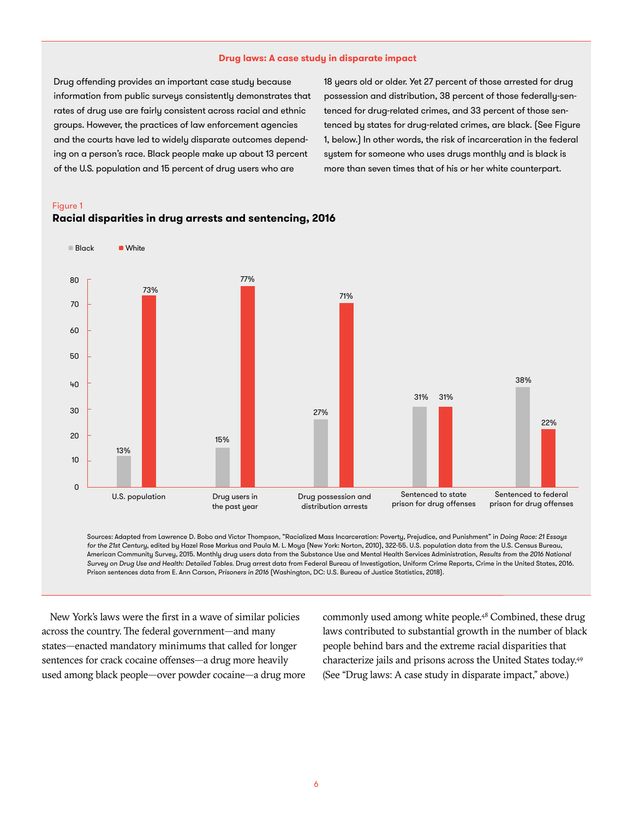### **Drug laws: A case study in disparate impact**

Drug offending provides an important case study because information from public surveys consistently demonstrates that rates of drug use are fairly consistent across racial and ethnic groups. However, the practices of law enforcement agencies and the courts have led to widely disparate outcomes depending on a person's race. Black people make up about 13 percent of the U.S. population and 15 percent of drug users who are

18 years old or older. Yet 27 percent of those arrested for drug possession and distribution, 38 percent of those federally-sentenced for drug-related crimes, and 33 percent of those sentenced by states for drug-related crimes, are black. (See Figure 1, below.) In other words, the risk of incarceration in the federal system for someone who uses drugs monthly and is black is more than seven times that of his or her white counterpart.

### Figure 1



### **Racial disparities in drug arrests and sentencing, 2016**

Sources: Adapted from Lawrence D. Bobo and Victor Thompson, "Racialized Mass Incarceration: Poverty, Prejudice, and Punishment" in *Doing Race: 21 Essays for the 21st Century*, edited by Hazel Rose Markus and Paula M. L. Moya (New York: Norton, 2010), 322-55. U.S. population data from the U.S. Census Bureau, American Community Survey, 2015. Monthly drug users data from the Substance Use and Mental Health Services Administration, *Results from the 2016 National Survey on Drug Use and Health: Detailed Tables*. Drug arrest data from Federal Bureau of Investigation, Uniform Crime Reports, Crime in the United States, 2016. Prison sentences data from E. Ann Carson, *Prisoners in 2016* (Washington, DC: U.S. Bureau of Justice Statistics, 2018).

New York's laws were the first in a wave of similar policies across the country. The federal government—and many states—enacted mandatory minimums that called for longer sentences for crack cocaine offenses—a drug more heavily used among black people—over powder cocaine—a drug more commonly used among white people.<sup>48</sup> Combined, these drug laws contributed to substantial growth in the number of black people behind bars and the extreme racial disparities that characterize jails and prisons across the United States today.49 (See "Drug laws: A case study in disparate impact," above.)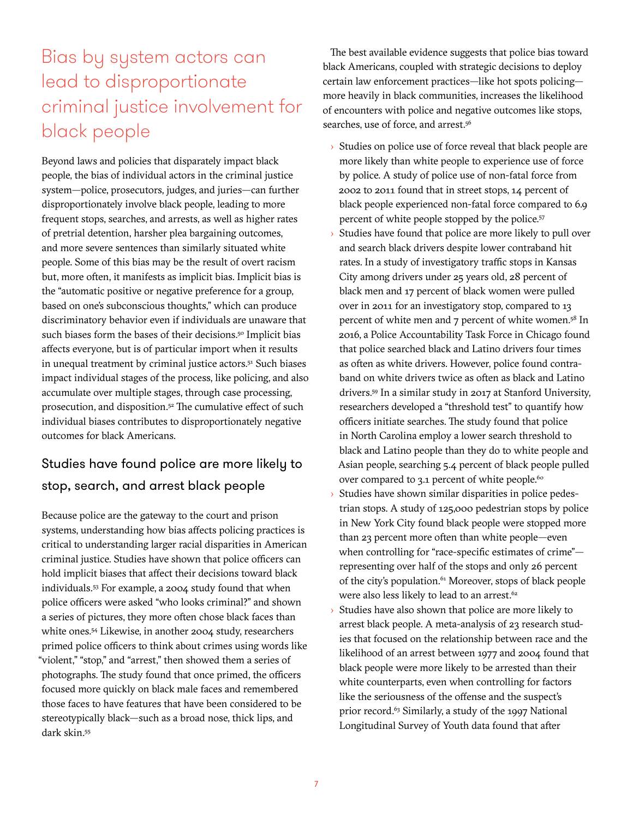## Bias by system actors can lead to disproportionate criminal justice involvement for black people

Beyond laws and policies that disparately impact black people, the bias of individual actors in the criminal justice system—police, prosecutors, judges, and juries—can further disproportionately involve black people, leading to more frequent stops, searches, and arrests, as well as higher rates of pretrial detention, harsher plea bargaining outcomes, and more severe sentences than similarly situated white people. Some of this bias may be the result of overt racism but, more often, it manifests as implicit bias. Implicit bias is the "automatic positive or negative preference for a group, based on one's subconscious thoughts," which can produce discriminatory behavior even if individuals are unaware that such biases form the bases of their decisions.<sup>50</sup> Implicit bias affects everyone, but is of particular import when it results in unequal treatment by criminal justice actors.<sup>51</sup> Such biases impact individual stages of the process, like policing, and also accumulate over multiple stages, through case processing, prosecution, and disposition.<sup>52</sup> The cumulative effect of such individual biases contributes to disproportionately negative outcomes for black Americans.

### Studies have found police are more likely to stop, search, and arrest black people

Because police are the gateway to the court and prison systems, understanding how bias affects policing practices is critical to understanding larger racial disparities in American criminal justice. Studies have shown that police officers can hold implicit biases that affect their decisions toward black individuals*.* 53 For example, a 2004 study found that when police officers were asked "who looks criminal?" and shown a series of pictures, they more often chose black faces than white ones.<sup>54</sup> Likewise, in another 2004 study, researchers primed police officers to think about crimes using words like "violent," "stop," and "arrest," then showed them a series of photographs. The study found that once primed, the officers focused more quickly on black male faces and remembered those faces to have features that have been considered to be stereotypically black—such as a broad nose, thick lips, and dark skin.55

The best available evidence suggests that police bias toward black Americans, coupled with strategic decisions to deploy certain law enforcement practices—like hot spots policing more heavily in black communities, increases the likelihood of encounters with police and negative outcomes like stops, searches, use of force, and arrest.<sup>56</sup>

- › Studies on police use of force reveal that black people are more likely than white people to experience use of force by police. A study of police use of non-fatal force from 2002 to 2011 found that in street stops, 14 percent of black people experienced non-fatal force compared to 6.9 percent of white people stopped by the police.<sup>57</sup>
- $\rightarrow$  Studies have found that police are more likely to pull over and search black drivers despite lower contraband hit rates. In a study of investigatory traffic stops in Kansas City among drivers under 25 years old, 28 percent of black men and 17 percent of black women were pulled over in 2011 for an investigatory stop, compared to 13 percent of white men and 7 percent of white women.<sup>58</sup> In 2016, a Police Accountability Task Force in Chicago found that police searched black and Latino drivers four times as often as white drivers. However, police found contraband on white drivers twice as often as black and Latino drivers.59 In a similar study in 2017 at Stanford University, researchers developed a "threshold test" to quantify how officers initiate searches. The study found that police in North Carolina employ a lower search threshold to black and Latino people than they do to white people and Asian people, searching 5.4 percent of black people pulled over compared to 3.1 percent of white people.<sup>60</sup>
- $\rightarrow$  Studies have shown similar disparities in police pedestrian stops. A study of 125,000 pedestrian stops by police in New York City found black people were stopped more than 23 percent more often than white people—even when controlling for "race-specific estimates of crime" representing over half of the stops and only 26 percent of the city's population.<sup>61</sup> Moreover, stops of black people were also less likely to lead to an arrest.<sup>62</sup>
- Studies have also shown that police are more likely to arrest black people. A meta-analysis of 23 research studies that focused on the relationship between race and the likelihood of an arrest between 1977 and 2004 found that black people were more likely to be arrested than their white counterparts, even when controlling for factors like the seriousness of the offense and the suspect's prior record.<sup>63</sup> Similarly, a study of the 1997 National Longitudinal Survey of Youth data found that after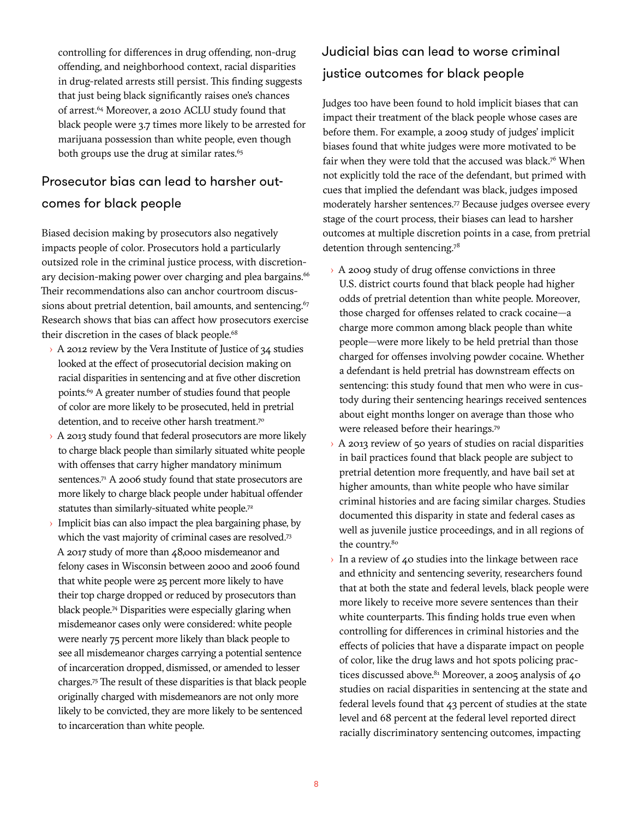controlling for differences in drug offending, non-drug offending, and neighborhood context, racial disparities in drug-related arrests still persist. This finding suggests that just being black significantly raises one's chances of arrest.<sup>64</sup> Moreover, a 2010 ACLU study found that black people were 3.7 times more likely to be arrested for marijuana possession than white people, even though both groups use the drug at similar rates.<sup>65</sup>

### Prosecutor bias can lead to harsher outcomes for black people

Biased decision making by prosecutors also negatively impacts people of color. Prosecutors hold a particularly outsized role in the criminal justice process, with discretionary decision-making power over charging and plea bargains.<sup>66</sup> Their recommendations also can anchor courtroom discussions about pretrial detention, bail amounts, and sentencing. $67$ Research shows that bias can affect how prosecutors exercise their discretion in the cases of black people.<sup>68</sup>

- › A 2012 review by the Vera Institute of Justice of 34 studies looked at the effect of prosecutorial decision making on racial disparities in sentencing and at five other discretion points.69 A greater number of studies found that people of color are more likely to be prosecuted, held in pretrial detention, and to receive other harsh treatment.<sup>70</sup>
- > A 2013 study found that federal prosecutors are more likely to charge black people than similarly situated white people with offenses that carry higher mandatory minimum sentences.<sup>71</sup> A 2006 study found that state prosecutors are more likely to charge black people under habitual offender statutes than similarly-situated white people.<sup>72</sup>
- Implicit bias can also impact the plea bargaining phase, by which the vast majority of criminal cases are resolved.<sup>73</sup> A 2017 study of more than 48,000 misdemeanor and felony cases in Wisconsin between 2000 and 2006 found that white people were 25 percent more likely to have their top charge dropped or reduced by prosecutors than black people.74 Disparities were especially glaring when misdemeanor cases only were considered: white people were nearly 75 percent more likely than black people to see all misdemeanor charges carrying a potential sentence of incarceration dropped, dismissed, or amended to lesser charges.75 The result of these disparities is that black people originally charged with misdemeanors are not only more likely to be convicted, they are more likely to be sentenced to incarceration than white people.

### Judicial bias can lead to worse criminal justice outcomes for black people

Judges too have been found to hold implicit biases that can impact their treatment of the black people whose cases are before them. For example, a 2009 study of judges' implicit biases found that white judges were more motivated to be fair when they were told that the accused was black.<sup>76</sup> When not explicitly told the race of the defendant, but primed with cues that implied the defendant was black, judges imposed moderately harsher sentences.77 Because judges oversee every stage of the court process, their biases can lead to harsher outcomes at multiple discretion points in a case, from pretrial detention through sentencing.78

- › A 2009 study of drug offense convictions in three U.S. district courts found that black people had higher odds of pretrial detention than white people. Moreover, those charged for offenses related to crack cocaine—a charge more common among black people than white people—were more likely to be held pretrial than those charged for offenses involving powder cocaine. Whether a defendant is held pretrial has downstream effects on sentencing: this study found that men who were in custody during their sentencing hearings received sentences about eight months longer on average than those who were released before their hearings.79
- › A 2013 review of 50 years of studies on racial disparities in bail practices found that black people are subject to pretrial detention more frequently, and have bail set at higher amounts, than white people who have similar criminal histories and are facing similar charges. Studies documented this disparity in state and federal cases as well as juvenile justice proceedings, and in all regions of the country.<sup>80</sup>
- In a review of 40 studies into the linkage between race and ethnicity and sentencing severity, researchers found that at both the state and federal levels, black people were more likely to receive more severe sentences than their white counterparts. This finding holds true even when controlling for differences in criminal histories and the effects of policies that have a disparate impact on people of color, like the drug laws and hot spots policing practices discussed above. $81$  Moreover, a 2005 analysis of 40 studies on racial disparities in sentencing at the state and federal levels found that 43 percent of studies at the state level and 68 percent at the federal level reported direct racially discriminatory sentencing outcomes, impacting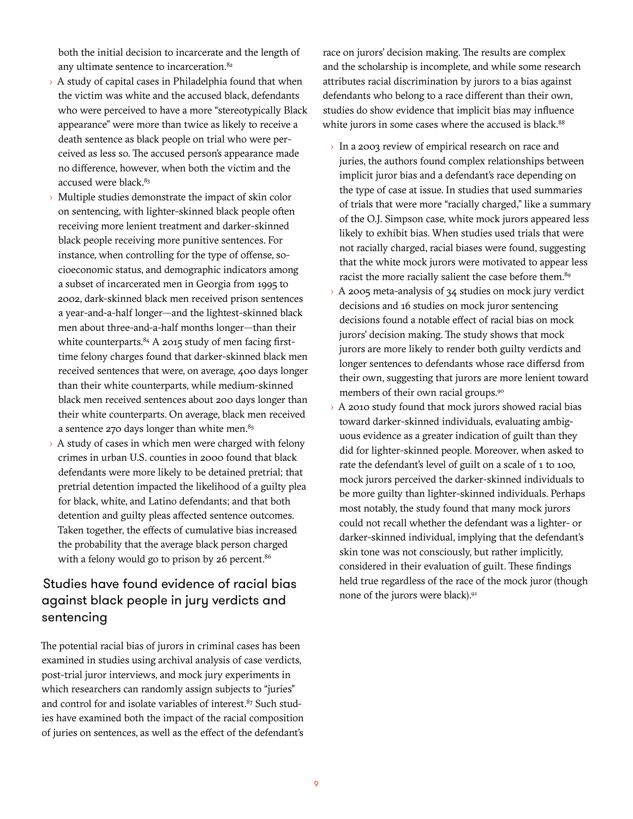both the initial decision to incarcerate and the length of any ultimate sentence to incarceration.<sup>82</sup>

- $\rightarrow$  A study of capital cases in Philadelphia found that when the victim was white and the accused black, defendants who were perceived to have a more "stereotypically Black appearance" were more than twice as likely to receive a death sentence as black people on trial who were perceived as less so. The accused person's appearance made no difference, however, when both the victim and the accused were black.<sup>83</sup>
- Multiple studies demonstrate the impact of skin color on sentencing, with lighter-skinned black people often receiving more lenient treatment and darker-skinned black people receiving more punitive sentences. For instance, when controlling for the type of offense, socioeconomic status, and demographic indicators among a subset of incarcerated men in Georgia from 1995 to 2002, dark-skinned black men received prison sentences a year-and-a-half longer—and the lightest-skinned black men about three-and-a-half months longer—than their white counterparts.<sup>84</sup> A 2015 study of men facing firsttime felony charges found that darker-skinned black men received sentences that were, on average, 400 days longer than their white counterparts, while medium-skinned black men received sentences about 200 days longer than their white counterparts. On average, black men received a sentence  $270$  days longer than white men.<sup>85</sup>
- $\rightarrow$  A study of cases in which men were charged with felony crimes in urban U.S. counties in 2000 found that black defendants were more likely to be detained pretrial; that pretrial detention impacted the likelihood of a guilty plea for black, white, and Latino defendants; and that both detention and guilty pleas affected sentence outcomes. Taken together, the effects of cumulative bias increased the probability that the average black person charged with a felony would go to prison by 26 percent.<sup>86</sup>

### Studies have found evidence of racial bias against black people in jury verdicts and sentencing

The potential racial bias of jurors in criminal cases has been examined in studies using archival analysis of case verdicts, post-trial juror interviews, and mock jury experiments in which researchers can randomly assign subjects to "juries" and control for and isolate variables of interest. $87$  Such studies have examined both the impact of the racial composition of juries on sentences, as well as the effect of the defendant's

race on jurors' decision making. The results are complex and the scholarship is incomplete, and while some research attributes racial discrimination by jurors to a bias against defendants who belong to a race different than their own, studies do show evidence that implicit bias may influence white jurors in some cases where the accused is black.<sup>88</sup>

- › In a 2003 review of empirical research on race and juries, the authors found complex relationships between implicit juror bias and a defendant's race depending on the type of case at issue. In studies that used summaries of trials that were more "racially charged," like a summary of the O.J. Simpson case, white mock jurors appeared less likely to exhibit bias. When studies used trials that were not racially charged, racial biases were found, suggesting that the white mock jurors were motivated to appear less racist the more racially salient the case before them.<sup>89</sup>
- › A 2005 meta-analysis of 34 studies on mock jury verdict decisions and 16 studies on mock juror sentencing decisions found a notable effect of racial bias on mock jurors' decision making. The study shows that mock jurors are more likely to render both guilty verdicts and longer sentences to defendants whose race differsd from their own, suggesting that jurors are more lenient toward members of their own racial groups.<sup>90</sup>
- › A 2010 study found that mock jurors showed racial bias toward darker-skinned individuals, evaluating ambiguous evidence as a greater indication of guilt than they did for lighter-skinned people. Moreover, when asked to rate the defendant's level of guilt on a scale of 1 to 100, mock jurors perceived the darker-skinned individuals to be more guilty than lighter-skinned individuals. Perhaps most notably, the study found that many mock jurors could not recall whether the defendant was a lighter- or darker-skinned individual, implying that the defendant's skin tone was not consciously, but rather implicitly, considered in their evaluation of guilt. These findings held true regardless of the race of the mock juror (though none of the jurors were black).91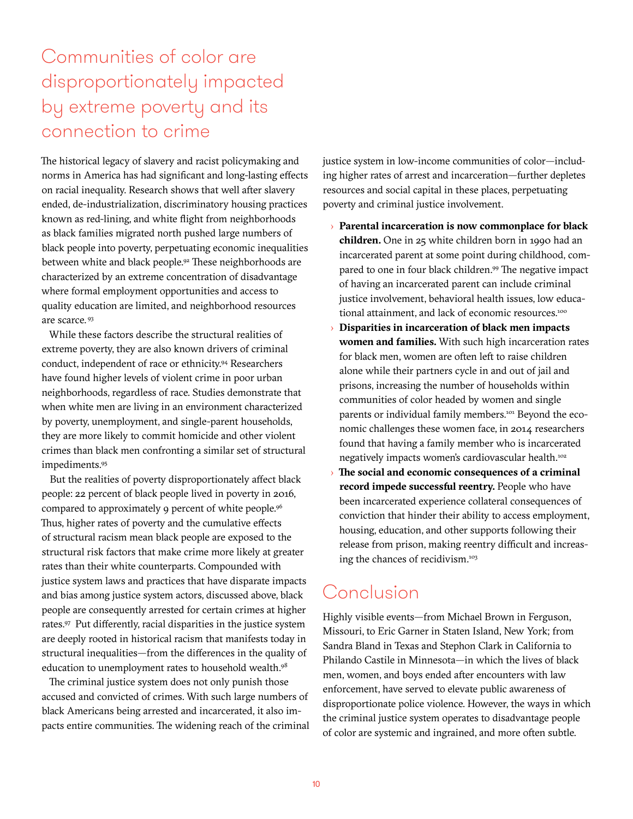## Communities of color are disproportionately impacted by extreme poverty and its connection to crime

The historical legacy of slavery and racist policymaking and norms in America has had significant and long-lasting effects on racial inequality. Research shows that well after slavery ended, de-industrialization, discriminatory housing practices known as red-lining, and white flight from neighborhoods as black families migrated north pushed large numbers of black people into poverty, perpetuating economic inequalities between white and black people.<sup>92</sup> These neighborhoods are characterized by an extreme concentration of disadvantage where formal employment opportunities and access to quality education are limited, and neighborhood resources are scarce. 93

While these factors describe the structural realities of extreme poverty, they are also known drivers of criminal conduct, independent of race or ethnicity.94 Researchers have found higher levels of violent crime in poor urban neighborhoods, regardless of race. Studies demonstrate that when white men are living in an environment characterized by poverty, unemployment, and single-parent households, they are more likely to commit homicide and other violent crimes than black men confronting a similar set of structural impediments.95

But the realities of poverty disproportionately affect black people: 22 percent of black people lived in poverty in 2016, compared to approximately 9 percent of white people.<sup>96</sup> Thus, higher rates of poverty and the cumulative effects of structural racism mean black people are exposed to the structural risk factors that make crime more likely at greater rates than their white counterparts. Compounded with justice system laws and practices that have disparate impacts and bias among justice system actors, discussed above, black people are consequently arrested for certain crimes at higher rates.97 Put differently, racial disparities in the justice system are deeply rooted in historical racism that manifests today in structural inequalities—from the differences in the quality of education to unemployment rates to household wealth.<sup>98</sup>

The criminal justice system does not only punish those accused and convicted of crimes. With such large numbers of black Americans being arrested and incarcerated, it also impacts entire communities. The widening reach of the criminal justice system in low-income communities of color—including higher rates of arrest and incarceration—further depletes resources and social capital in these places, perpetuating poverty and criminal justice involvement.

- › **Parental incarceration is now commonplace for black children.** One in 25 white children born in 1990 had an incarcerated parent at some point during childhood, compared to one in four black children.99 The negative impact of having an incarcerated parent can include criminal justice involvement, behavioral health issues, low educational attainment, and lack of economic resources.<sup>100</sup>
- › **Disparities in incarceration of black men impacts women and families.** With such high incarceration rates for black men, women are often left to raise children alone while their partners cycle in and out of jail and prisons, increasing the number of households within communities of color headed by women and single parents or individual family members.<sup>101</sup> Beyond the economic challenges these women face, in 2014 researchers found that having a family member who is incarcerated negatively impacts women's cardiovascular health.<sup>102</sup>
- › **The social and economic consequences of a criminal record impede successful reentry.** People who have been incarcerated experience collateral consequences of conviction that hinder their ability to access employment, housing, education, and other supports following their release from prison, making reentry difficult and increasing the chances of recidivism.103

## Conclusion

Highly visible events—from Michael Brown in Ferguson, Missouri, to Eric Garner in Staten Island, New York; from Sandra Bland in Texas and Stephon Clark in California to Philando Castile in Minnesota—in which the lives of black men, women, and boys ended after encounters with law enforcement, have served to elevate public awareness of disproportionate police violence. However, the ways in which the criminal justice system operates to disadvantage people of color are systemic and ingrained, and more often subtle.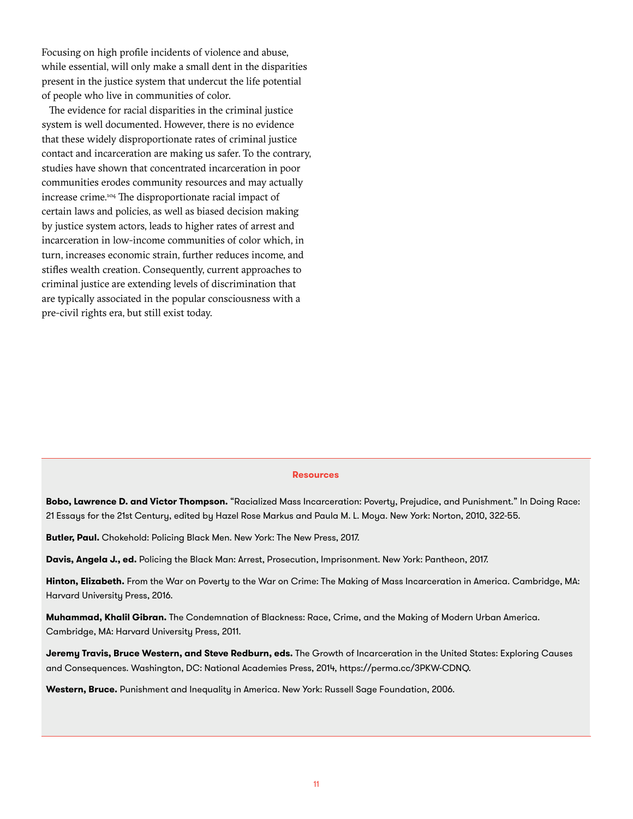Focusing on high profile incidents of violence and abuse, while essential, will only make a small dent in the disparities present in the justice system that undercut the life potential of people who live in communities of color.

The evidence for racial disparities in the criminal justice system is well documented. However, there is no evidence that these widely disproportionate rates of criminal justice contact and incarceration are making us safer. To the contrary, studies have shown that concentrated incarceration in poor communities erodes community resources and may actually increase crime.104 The disproportionate racial impact of certain laws and policies, as well as biased decision making by justice system actors, leads to higher rates of arrest and incarceration in low-income communities of color which, in turn, increases economic strain, further reduces income, and stifles wealth creation. Consequently, current approaches to criminal justice are extending levels of discrimination that are typically associated in the popular consciousness with a pre-civil rights era, but still exist today.

#### **Resources**

**Bobo, Lawrence D. and Victor Thompson.** "Racialized Mass Incarceration: Poverty, Prejudice, and Punishment." In Doing Race: 21 Essays for the 21st Century, edited by Hazel Rose Markus and Paula M. L. Moya. New York: Norton, 2010, 322-55.

**Butler, Paul.** Chokehold: Policing Black Men. New York: The New Press, 2017.

**Davis, Angela J., ed.** Policing the Black Man: Arrest, Prosecution, Imprisonment. New York: Pantheon, 2017.

**Hinton, Elizabeth.** From the War on Poverty to the War on Crime: The Making of Mass Incarceration in America. Cambridge, MA: Harvard University Press, 2016.

**Muhammad, Khalil Gibran.** The Condemnation of Blackness: Race, Crime, and the Making of Modern Urban America. Cambridge, MA: Harvard University Press, 2011.

**Jeremy Travis, Bruce Western, and Steve Redburn, eds.** The Growth of Incarceration in the United States: Exploring Causes and Consequences. Washington, DC: National Academies Press, 2014, https://perma.cc/3PKW-CDNQ.

**Western, Bruce.** Punishment and Inequality in America. New York: Russell Sage Foundation, 2006.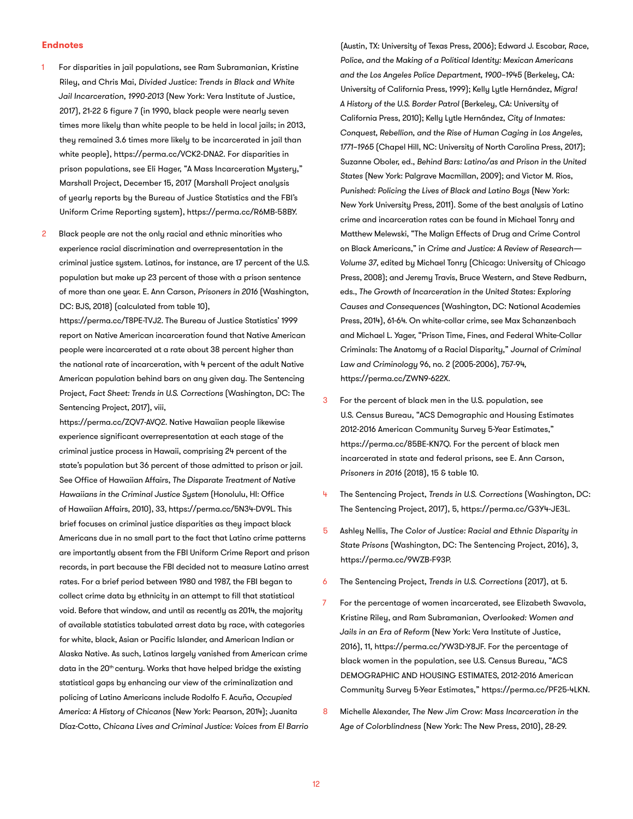#### **Endnotes**

- For disparities in jail populations, see Ram Subramanian, Kristine Riley, and Chris Mai, *Divided Justice: Trends in Black and White Jail Incarceration, 1990-2013* (New York: Vera Institute of Justice, 2017), 21-22 & figure 7 (in 1990, black people were nearly seven times more likely than white people to be held in local jails; in 2013, they remained 3.6 times more likely to be incarcerated in jail than white people), https://perma.cc/VCK2-DNA2. For disparities in prison populations, see Eli Hager, "A Mass Incarceration Mystery," Marshall Project, December 15, 2017 (Marshall Project analysis of yearly reports by the Bureau of Justice Statistics and the FBI's Uniform Crime Reporting system), https://perma.cc/R6MB-58BY.
- Black people are not the only racial and ethnic minorities who experience racial discrimination and overrepresentation in the criminal justice system. Latinos, for instance, are 17 percent of the U.S. population but make up 23 percent of those with a prison sentence of more than one year. E. Ann Carson, *Prisoners in 2016* (Washington, DC: BJS, 2018) (calculated from table 10),

https://perma.cc/T8PE-TVJ2. The Bureau of Justice Statistics' 1999 report on Native American incarceration found that Native American people were incarcerated at a rate about 38 percent higher than the national rate of incarceration, with 4 percent of the adult Native American population behind bars on any given day. The Sentencing Project, *Fact Sheet: Trends in U.S. Corrections* (Washington, DC: The Sentencing Project, 2017), viii,

https://perma.cc/ZQV7-AVQ2. Native Hawaiian people likewise experience significant overrepresentation at each stage of the criminal justice process in Hawaii, comprising 24 percent of the state's population but 36 percent of those admitted to prison or jail. See Office of Hawaiian Affairs, *The Disparate Treatment of Native Hawaiians in the Criminal Justice System* (Honolulu, HI: Office of Hawaiian Affairs, 2010), 33, https://perma.cc/5N34-DV9L. This brief focuses on criminal justice disparities as they impact black Americans due in no small part to the fact that Latino crime patterns are importantly absent from the FBI Uniform Crime Report and prison records, in part because the FBI decided not to measure Latino arrest rates. For a brief period between 1980 and 1987, the FBI began to collect crime data by ethnicity in an attempt to fill that statistical void. Before that window, and until as recently as 2014, the majority of available statistics tabulated arrest data by race, with categories for white, black, Asian or Pacific Islander, and American Indian or Alaska Native. As such, Latinos largely vanished from American crime data in the 20<sup>th</sup> century. Works that have helped bridge the existing statistical gaps by enhancing our view of the criminalization and policing of Latino Americans include Rodolfo F. Acuňa, *Occupied America: A History of Chicanos* (New York: Pearson, 2014); Juanita Díaz-Cotto, *Chicana Lives and Criminal Justice: Voices from El Barrio* 

(Austin, TX: University of Texas Press, 2006); Edward J. Escobar, *Race, Police, and the Making of a Political Identity: Mexican Americans and the Los Angeles Police Department, 1900–1945* (Berkeley, CA: University of California Press, 1999); Kelly Lytle Hernández, *Migra! A History of the U.S. Border Patrol* (Berkeley, CA: University of California Press, 2010); Kelly Lytle Hernández, *City of Inmates: Conquest, Rebellion, and the Rise of Human Caging in Los Angeles, 1771–1965* (Chapel Hill, NC: University of North Carolina Press, 2017); Suzanne Oboler, ed., *Behind Bars: Latino/as and Prison in the United States* (New York: Palgrave Macmillan, 2009); and Victor M. Rios, *Punished: Policing the Lives of Black and Latino Boys* (New York: New York University Press, 2011). Some of the best analysis of Latino crime and incarceration rates can be found in Michael Tonry and Matthew Melewski, "The Malign Effects of Drug and Crime Control on Black Americans," in *Crime and Justice: A Review of Research— Volume 37*, edited by Michael Tonry (Chicago: University of Chicago Press, 2008); and Jeremy Travis, Bruce Western, and Steve Redburn, eds., *The Growth of Incarceration in the United States: Exploring Causes and Consequences* (Washington, DC: National Academies Press, 2014), 61-64. On white-collar crime, see Max Schanzenbach and Michael L. Yager, "Prison Time, Fines, and Federal White-Collar Criminals: The Anatomy of a Racial Disparity," *Journal of Criminal Law and Criminology* 96, no. 2 (2005-2006), 757-94, https://perma.cc/ZWN9-622X.

- 3 For the percent of black men in the U.S. population, see U.S. Census Bureau, "ACS Demographic and Housing Estimates 2012-2016 American Community Survey 5-Year Estimates," https://perma.cc/85BE-KN7Q. For the percent of black men incarcerated in state and federal prisons, see E. Ann Carson, *Prisoners in 2016* (2018), 15 & table 10.
- 4 The Sentencing Project, *Trends in U.S. Corrections* (Washington, DC: The Sentencing Project, 2017), 5, https://perma.cc/G3Y4-JE3L.
- 5 Ashley Nellis, *The Color of Justice: Racial and Ethnic Disparity in State Prisons* (Washington, DC: The Sentencing Project, 2016), 3, https://perma.cc/9WZB-F93P.
- 6 The Sentencing Project, *Trends in U.S. Corrections* (2017), at 5.
- 7 For the percentage of women incarcerated, see Elizabeth Swavola, Kristine Riley, and Ram Subramanian, *Overlooked: Women and Jails in an Era of Reform* (New York: Vera Institute of Justice, 2016), 11, https://perma.cc/YW3D-Y8JF. For the percentage of black women in the population, see U.S. Census Bureau, "ACS DEMOGRAPHIC AND HOUSING ESTIMATES, 2012-2016 American Community Survey 5-Year Estimates," https://perma.cc/PF25-4LKN.
- 8 Michelle Alexander, *The New Jim Crow: Mass Incarceration in the Age of Colorblindness* (New York: The New Press, 2010), 28-29.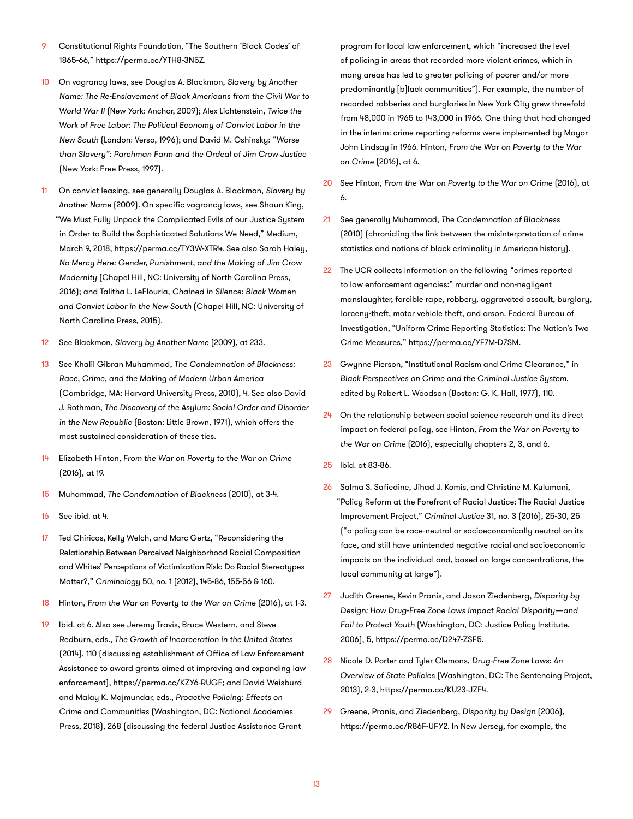- 9 Constitutional Rights Foundation, "The Southern 'Black Codes' of 1865-66," https://perma.cc/YTH8-3N5Z.
- 10 On vagrancy laws, see Douglas A. Blackmon, *Slavery by Another Name: The Re-Enslavement of Black Americans from the Civil War to World War II* (New York: Anchor, 2009); Alex Lichtenstein, *Twice the Work of Free Labor: The Political Economy of Convict Labor in the New South* (London: Verso, 1996); and David M. Oshinsky: *"Worse than Slavery": Parchman Farm and the Ordeal of Jim Crow Justice* (New York: Free Press, 1997).
- 11 On convict leasing, see generally Douglas A. Blackmon, *Slavery by Another Name* (2009). On specific vagrancy laws, see Shaun King, "We Must Fully Unpack the Complicated Evils of our Justice System in Order to Build the Sophisticated Solutions We Need," Medium, March 9, 2018, https://perma.cc/TY3W-XTR4. See also Sarah Haley, *No Mercy Here: Gender, Punishment, and the Making of Jim Crow Modernity* (Chapel Hill, NC: University of North Carolina Press, 2016); and Talitha L. LeFlouria, *Chained in Silence: Black Women and Convict Labor in the New South* (Chapel Hill, NC: University of North Carolina Press, 2015).
- 12 See Blackmon, *Slavery by Another Name* (2009), at 233.
- 13 See Khalil Gibran Muhammad, *The Condemnation of Blackness: Race, Crime, and the Making of Modern Urban America*  (Cambridge, MA: Harvard University Press, 2010), 4. See also David J. Rothman, *The Discovery of the Asylum: Social Order and Disorder in the New Republic* (Boston: Little Brown, 1971), which offers the most sustained consideration of these ties.
- 14 Elizabeth Hinton, *From the War on Poverty to the War on Crime*  (2016), at 19.
- 15 Muhammad, *The Condemnation of Blackness* (2010), at 3-4.
- 16 See ibid. at 4.
- 17 Ted Chiricos, Kelly Welch, and Marc Gertz, "Reconsidering the Relationship Between Perceived Neighborhood Racial Composition and Whites' Perceptions of Victimization Risk: Do Racial Stereotypes Matter?," *Criminology* 50, no. 1 (2012), 145-86, 155-56 & 160.
- 18 Hinton, From the War on Poverty to the War on Crime (2016), at 1-3.
- 19 Ibid. at 6. Also see Jeremy Travis, Bruce Western, and Steve Redburn, eds., *The Growth of Incarceration in the United States*  (2014), 110 (discussing establishment of Office of Law Enforcement Assistance to award grants aimed at improving and expanding law enforcement), https://perma.cc/KZY6-RUGF; and David Weisburd and Malay K. Majmundar, eds., *Proactive Policing: Effects on Crime and Communities* (Washington, DC: National Academies Press, 2018), 268 (discussing the federal Justice Assistance Grant

program for local law enforcement, which "increased the level of policing in areas that recorded more violent crimes, which in many areas has led to greater policing of poorer and/or more predominantly [b]lack communities"). For example, the number of recorded robberies and burglaries in New York City grew threefold from 48,000 in 1965 to 143,000 in 1966. One thing that had changed in the interim: crime reporting reforms were implemented by Mayor John Lindsay in 1966. Hinton, *From the War on Poverty to the War on Crime* (2016), at 6.

- 20 See Hinton, From the War on Poverty to the War on Crime (2016), at 6.
- 21 See generally Muhammad, *The Condemnation of Blackness*  (2010) (chronicling the link between the misinterpretation of crime statistics and notions of black criminality in American history).
- 22 The UCR collects information on the following "crimes reported to law enforcement agencies:" murder and non-negligent manslaughter, forcible rape, robbery, aggravated assault, burglary, larceny-theft, motor vehicle theft, and arson. Federal Bureau of Investigation, "Uniform Crime Reporting Statistics: The Nation's Two Crime Measures," https://perma.cc/YF7M-D7SM.
- 23 Gwynne Pierson, "Institutional Racism and Crime Clearance," in *Black Perspectives on Crime and the Criminal Justice System*, edited by Robert L. Woodson (Boston: G. K. Hall, 1977), 110.
- $24$  On the relationship between social science research and its direct impact on federal policy, see Hinton, *From the War on Poverty to the War on Crime* (2016), especially chapters 2, 3, and 6.
- 25 Ibid. at 83-86.
- 26 Salma S. Safiedine, Jihad J. Komis, and Christine M. Kulumani, "Policy Reform at the Forefront of Racial Justice: The Racial Justice Improvement Project," *Criminal Justice* 31, no. 3 (2016), 25-30, 25 ("a policy can be race-neutral or socioeconomically neutral on its face, and still have unintended negative racial and socioeconomic impacts on the individual and, based on large concentrations, the local community at large").
- 27 Judith Greene, Kevin Pranis, and Jason Ziedenberg, *Disparity by Design: How Drug-Free Zone Laws Impact Racial Disparity—and Fail to Protect Youth* (Washington, DC: Justice Policy Institute, 2006), 5, https://perma.cc/D247-ZSF5.
- 28 Nicole D. Porter and Tyler Clemons, *Drug-Free Zone Laws: An Overview of State Policies* (Washington, DC: The Sentencing Project, 2013), 2-3, https://perma.cc/KU23-JZF4.
- 29 Greene, Pranis, and Ziedenberg, *Disparity by Design* (2006), https://perma.cc/R86F-UFY2. In New Jersey, for example, the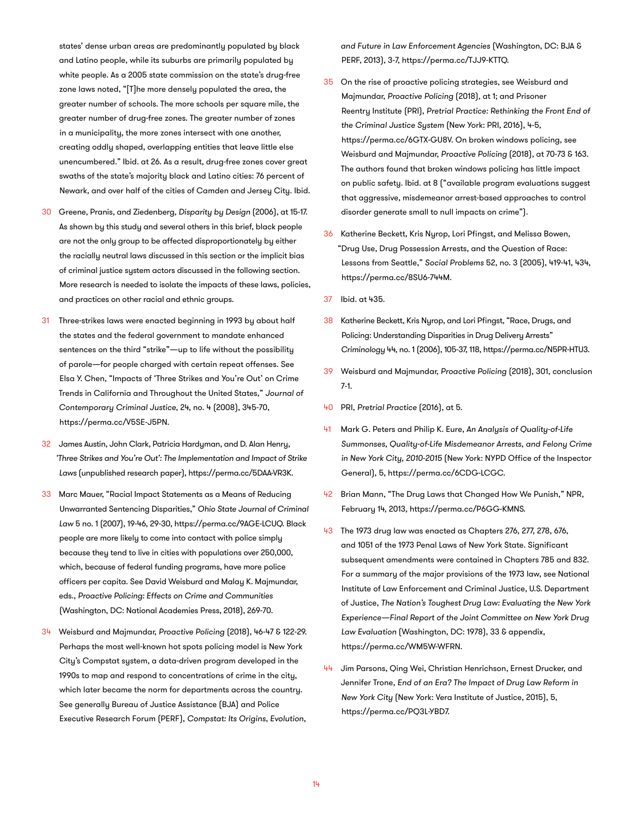states' dense urban areas are predominantly populated by black and Latino people, while its suburbs are primarily populated by white people. As a 2005 state commission on the state's drug-free zone laws noted, "[T]he more densely populated the area, the greater number of schools. The more schools per square mile, the greater number of drug-free zones. The greater number of zones in a municipality, the more zones intersect with one another, creating oddly shaped, overlapping entities that leave little else unencumbered." Ibid. at 26. As a result, drug-free zones cover great swaths of the state's majority black and Latino cities: 76 percent of Newark, and over half of the cities of Camden and Jersey City. Ibid.

- 30 Greene, Pranis, and Ziedenberg, *Disparity by Design* (2006), at 15-17. As shown by this study and several others in this brief, black people are not the only group to be affected disproportionately by either the racially neutral laws discussed in this section or the implicit bias of criminal justice system actors discussed in the following section. More research is needed to isolate the impacts of these laws, policies, and practices on other racial and ethnic groups.
- 31 Three-strikes laws were enacted beginning in 1993 by about half the states and the federal government to mandate enhanced sentences on the third "strike"—up to life without the possibility of parole—for people charged with certain repeat offenses. See Elsa Y. Chen, "Impacts of 'Three Strikes and You're Out' on Crime Trends in California and Throughout the United States," *Journal of Contemporary Criminal Justice*, 24, no. 4 (2008), 345-70, https://perma.cc/V5SE-J5PN.
- 32 James Austin, John Clark, Patricia Hardyman, and D. Alan Henry, *'Three Strikes and You're Out': The Implementation and Impact of Strike Laws* (unpublished research paper), https://perma.cc/5DAA-VR3K.
- 33 Marc Mauer, "Racial Impact Statements as a Means of Reducing Unwarranted Sentencing Disparities," *Ohio State Journal of Criminal Law* 5 no. 1 (2007), 19-46, 29-30, https://perma.cc/9AGE-LCUQ. Black people are more likely to come into contact with police simply because they tend to live in cities with populations over 250,000, which, because of federal funding programs, have more police officers per capita. See David Weisburd and Malay K. Majmundar, eds., *Proactive Policing: Effects on Crime and Communities*  (Washington, DC: National Academies Press, 2018), 269-70.
- 34 Weisburd and Majmundar, *Proactive Policing* (2018), 46-47 & 122-29. Perhaps the most well-known hot spots policing model is New York City's Compstat system, a data-driven program developed in the 1990s to map and respond to concentrations of crime in the city, which later became the norm for departments across the country. See generally Bureau of Justice Assistance (BJA) and Police Executive Research Forum (PERF), *Compstat: Its Origins, Evolution,*

*and Future in Law Enforcement Agencies* (Washington, DC: BJA & PERF, 2013), 3-7, https://perma.cc/TJJ9-KTTQ.

- 35 On the rise of proactive policing strategies, see Weisburd and Majmundar, *Proactive Policing* (2018), at 1; and Prisoner Reentry Institute (PRI), *Pretrial Practice: Rethinking the Front End of the Criminal Justice System* (New York: PRI, 2016), 4-5, https://perma.cc/6GTX-GU8V. On broken windows policing, see Weisburd and Majmundar, *Proactive Policing* (2018), at 70-73 & 163. The authors found that broken windows policing has little impact on public safety. Ibid. at 8 ("available program evaluations suggest that aggressive, misdemeanor arrest-based approaches to control disorder generate small to null impacts on crime").
- 36 Katherine Beckett, Kris Nyrop, Lori Pfingst, and Melissa Bowen, "Drug Use, Drug Possession Arrests, and the Question of Race: Lessons from Seattle," *Social Problems* 52, no. 3 (2005), 419-41, 434, https://perma.cc/8SU6-744M.
- 37 Ibid. at 435.
- 38 Katherine Beckett, Kris Nyrop, and Lori Pfingst, "Race, Drugs, and Policing: Understanding Disparities in Drug Delivery Arrests" *Criminology* 44, no. 1 (2006), 105-37, 118, https://perma.cc/N5PR-HTU3.
- 39 Weisburd and Majmundar, *Proactive Policing* (2018), 301, conclusion 7-1.
- 40 PRI, *Pretrial Practice* (2016), at 5.
- 41 Mark G. Peters and Philip K. Eure, *An Analysis of Quality-of-Life Summonses, Quality-of-Life Misdemeanor Arrests, and Felony Crime in New York City, 2010-2015* (New York: NYPD Office of the Inspector General), 5, https://perma.cc/6CDG-LCGC.
- 42 Brian Mann, "The Drug Laws that Changed How We Punish," NPR, February 14, 2013, https://perma.cc/P6GG-KMNS.
- 43 The 1973 drug law was enacted as Chapters 276, 277, 278, 676, and 1051 of the 1973 Penal Laws of New York State. Significant subsequent amendments were contained in Chapters 785 and 832. For a summary of the major provisions of the 1973 law, see National Institute of Law Enforcement and Criminal Justice, U.S. Department of Justice, *The Nation's Toughest Drug Law: Evaluating the New York Experience—Final Report of the Joint Committee on New York Drug Law Evaluation* (Washington, DC: 1978), 33 & appendix, https://perma.cc/WM5W-WFRN.
- 44 Jim Parsons, Qing Wei, Christian Henrichson, Ernest Drucker, and Jennifer Trone*, End of an Era? The Impact of Drug Law Reform in New York City* (New York: Vera Institute of Justice, 2015), 5, https://perma.cc/PQ3L-YBD7.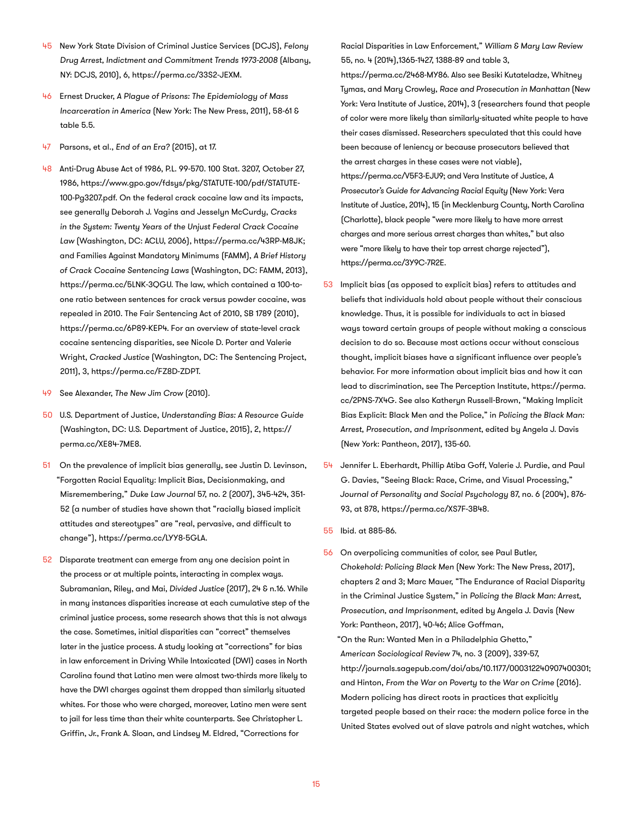- 45 New York State Division of Criminal Justice Services (DCJS), *Felony Drug Arrest, Indictment and Commitment Trends 1973-2008* (Albany, NY: DCJS, 2010), 6, https://perma.cc/33S2-JEXM.
- 46 Ernest Drucker, *A Plague of Prisons: The Epidemiology of Mass Incarceration in America* (New York: The New Press, 2011), 58-61 & table 5.5.
- 47 Parsons, et al., *End of an Era?* (2015), at 17.
- 48 Anti-Drug Abuse Act of 1986, P.L. 99-570. 100 Stat. 3207, October 27, 1986, [https://www.gpo.gov/fdsys/pkg/STATUTE-100/pdf/STATUTE-](https://www.gpo.gov/fdsys/pkg/STATUTE-100/pdf/STATUTE-100-Pg3207.pdf)[100-Pg3207.pdf.](https://www.gpo.gov/fdsys/pkg/STATUTE-100/pdf/STATUTE-100-Pg3207.pdf) On the federal crack cocaine law and its impacts, see generally Deborah J. Vagins and Jesselyn McCurdy, *Cracks in the System: Twenty Years of the Unjust Federal Crack Cocaine Law* (Washington, DC: ACLU, 2006), https://perma.cc/43RP-M8JK; and Families Against Mandatory Minimums (FAMM), *A Brief History of Crack Cocaine Sentencing Laws* (Washington, DC: FAMM, 2013), https://perma.cc/5LNK-3QGU. The law, which contained a 100-toone ratio between sentences for crack versus powder cocaine, was repealed in 2010. The Fair Sentencing Act of 2010, SB 1789 (2010), https://perma.cc/6P89-KEP4. For an overview of state-level crack cocaine sentencing disparities, see Nicole D. Porter and Valerie Wright, *Cracked Justice* (Washington, DC: The Sentencing Project, 2011), 3, https://perma.cc/FZ8D-ZDPT.
- 49 See Alexander, *The New Jim Crow* (2010).
- 50 U.S. Department of Justice, *Understanding Bias: A Resource Guide*  (Washington, DC: U.S. Department of Justice, 2015), 2, https:// perma.cc/XE84-7ME8.
- 51 On the prevalence of implicit bias generally, see Justin D. Levinson, "Forgotten Racial Equality: Implicit Bias, Decisionmaking, and Misremembering," *Duke Law Journal* 57, no. 2 (2007), 345-424, 351- 52 (a number of studies have shown that "racially biased implicit attitudes and stereotypes" are "real, pervasive, and difficult to change"), https://perma.cc/LYY8-5GLA.
- 52 Disparate treatment can emerge from any one decision point in the process or at multiple points, interacting in complex ways. Subramanian, Riley, and Mai, *Divided Justice* (2017), 24 & n.16. While in many instances disparities increase at each cumulative step of the criminal justice process, some research shows that this is not always the case. Sometimes, initial disparities can "correct" themselves later in the justice process. A study looking at "corrections" for bias in law enforcement in Driving While Intoxicated (DWI) cases in North Carolina found that Latino men were almost two-thirds more likely to have the DWI charges against them dropped than similarly situated whites. For those who were charged, moreover, Latino men were sent to jail for less time than their white counterparts. See Christopher L. Griffin, Jr., Frank A. Sloan, and Lindsey M. Eldred, "Corrections for

Racial Disparities in Law Enforcement," *William & Mary Law Review* 55, no. 4 (2014),1365-1427, 1388-89 and table 3,

https://perma.cc/2468-MY86. Also see Besiki Kutateladze, Whitney Tymas, and Mary Crowley, *Race and Prosecution in Manhattan* (New York: Vera Institute of Justice, 2014), 3 (researchers found that people of color were more likely than similarly-situated white people to have their cases dismissed. Researchers speculated that this could have been because of leniency or because prosecutors believed that the arrest charges in these cases were not viable), [https://perma.cc/V5F3-EJU9;](https://perma.cc/V5F3-EJU9) and Vera Institute of Justice, *A Prosecutor's Guide for Advancing Racial Equity* (New York: Vera Institute of Justice, 2014), 15 (in Mecklenburg County, North Carolina (Charlotte), black people "were more likely to have more arrest charges and more serious arrest charges than whites," but also were "more likely to have their top arrest charge rejected"), https://perma.cc/3Y9C-7R2E.

- 53 Implicit bias (as opposed to explicit bias) refers to attitudes and beliefs that individuals hold about people without their conscious knowledge. Thus, it is possible for individuals to act in biased ways toward certain groups of people without making a conscious decision to do so. Because most actions occur without conscious thought, implicit biases have a significant influence over people's behavior. For more information about implicit bias and how it can lead to discrimination, see The Perception Institute, https://perma. cc/2PNS-7X4G. See also Katheryn Russell-Brown, "Making Implicit Bias Explicit: Black Men and the Police," in *Policing the Black Man: Arrest, Prosecution, and Imprisonment*, edited by Angela J. Davis (New York: Pantheon, 2017), 135-60.
- 54 Jennifer L. Eberhardt, Phillip Atiba Goff, Valerie J. Purdie, and Paul G. Davies, "Seeing Black: Race, Crime, and Visual Processing," *Journal of Personality and Social Psychology* 87, no. 6 (2004), 876- 93, at 878, https://perma.cc/XS7F-3B48.
- 55 Ibid. at 885-86.
- 56 On overpolicing communities of color, see Paul Butler, *Chokehold: Policing Black Men* (New York: The New Press, 2017), chapters 2 and 3; Marc Mauer, "The Endurance of Racial Disparity in the Criminal Justice System," in *Policing the Black Man: Arrest, Prosecution, and Imprisonment*, edited by Angela J. Davis (New York: Pantheon, 2017), 40-46; Alice Goffman,
	- "On the Run: Wanted Men in a Philadelphia Ghetto," *American Sociological Review* 74, no. 3 (2009), 339-57, [http://journals.sagepub.com/doi/abs/10.1177/000312240907400301;](http://journals.sagepub.com/doi/abs/10.1177/000312240907400301) and Hinton, *From the War on Poverty to the War on Crime* (2016). Modern policing has direct roots in practices that explicitly targeted people based on their race: the modern police force in the United States evolved out of slave patrols and night watches, which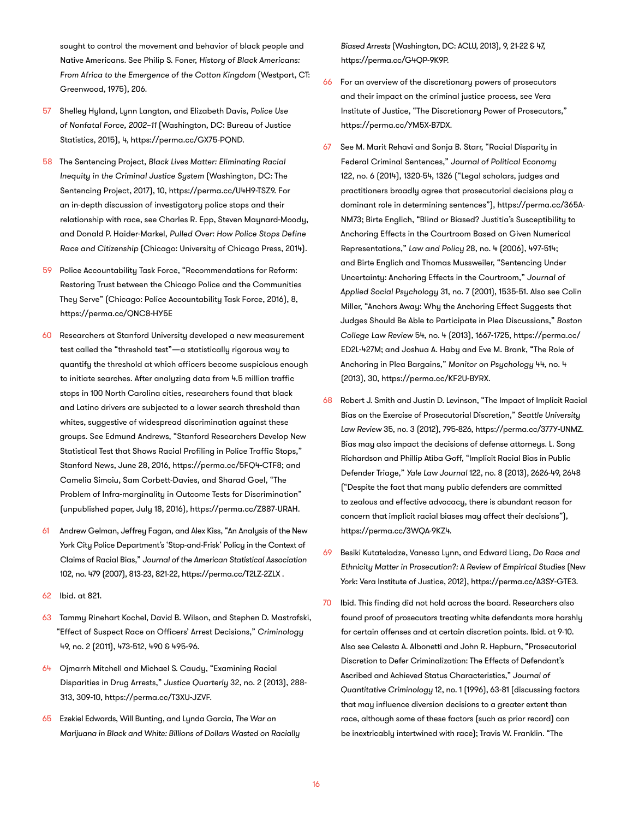sought to control the movement and behavior of black people and Native Americans. See Philip S. Foner, *History of Black Americans: From Africa to the Emergence of the Cotton Kingdom* (Westport, CT: Greenwood, 1975), 206.

- 57 Shelley Hyland, Lynn Langton, and Elizabeth Davis, *Police Use of Nonfatal Force, 2002–11* (Washington, DC: Bureau of Justice Statistics, 2015), 4, https://perma.cc/GX75-PQND.
- 58 The Sentencing Project, *Black Lives Matter: Eliminating Racial Inequity in the Criminal Justice System* (Washington, DC: The Sentencing Project, 2017), 10, https://perma.cc/U4H9-TSZ9. For an in-depth discussion of investigatory police stops and their relationship with race, see Charles R. Epp, Steven Maynard-Moody, and Donald P. Haider-Markel, *Pulled Over: How Police Stops Define Race and Citizenship* (Chicago: University of Chicago Press, 2014).
- 59 Police Accountability Task Force, "Recommendations for Reform: Restoring Trust between the Chicago Police and the Communities They Serve" (Chicago: Police Accountability Task Force, 2016), 8, https://perma.cc/QNC8-HY5E
- 60 Researchers at Stanford University developed a new measurement test called the "threshold test"—a statistically rigorous way to quantify the threshold at which officers become suspicious enough to initiate searches. After analyzing data from 4.5 million traffic stops in 100 North Carolina cities, researchers found that black and Latino drivers are subjected to a lower search threshold than whites, suggestive of widespread discrimination against these groups. See Edmund Andrews, "Stanford Researchers Develop New Statistical Test that Shows Racial Profiling in Police Traffic Stops," Stanford News, June 28, 2016, https://perma.cc/5FQ4-CTF8; and Camelia Simoiu, Sam Corbett-Davies, and Sharad Goel, "The Problem of Infra-marginality in Outcome Tests for Discrimination" (unpublished paper, July 18, 2016), https://perma.cc/Z887-URAH.
- 61 Andrew Gelman, Jeffrey Fagan, and Alex Kiss, "An Analysis of the New York City Police Department's 'Stop-and-Frisk' Policy in the Context of Claims of Racial Bias," *Journal of the American Statistical Association* 102, no. 479 (2007), 813-23, 821-22, https://perma.cc/T2LZ-2ZLX .
- 62 Ibid. at 821.
- 63 Tammy Rinehart Kochel, David B. Wilson, and Stephen D. Mastrofski, "Effect of Suspect Race on Officers' Arrest Decisions," *Criminology* 49, no. 2 (2011), 473-512, 490 & 495-96.
- 64 Ojmarrh Mitchell and Michael S. Caudy, "Examining Racial Disparities in Drug Arrests," *Justice Quarterly* 32, no. 2 (2013), 288- 313, 309-10, https://perma.cc/T3XU-JZVF.
- 65 Ezekiel Edwards, Will Bunting, and Lynda Garcia, *The War on Marijuana in Black and White: Billions of Dollars Wasted on Racially*

*Biased Arrests* (Washington, DC: ACLU, 2013), 9, 21-22 & 47, https://perma.cc/G4QP-9K9P.

- 66 For an overview of the discretionary powers of prosecutors and their impact on the criminal justice process, see Vera Institute of Justice, "The Discretionary Power of Prosecutors," https://perma.cc/YM5X-B7DX.
- 67 See M. Marit Rehavi and Sonja B. Starr, "Racial Disparity in Federal Criminal Sentences," *Journal of Political Economy*  122, no. 6 (2014), 1320-54, 1326 ("Legal scholars, judges and practitioners broadly agree that prosecutorial decisions play a dominant role in determining sentences"), https://perma.cc/365A-NM73; Birte Englich, "Blind or Biased? Justitia's Susceptibility to Anchoring Effects in the Courtroom Based on Given Numerical Representations," *Law and Policy* 28, no. 4 (2006), 497-514; and Birte Englich and Thomas Mussweiler, "Sentencing Under Uncertainty: Anchoring Effects in the Courtroom," *Journal of Applied Social Psychology* 31, no. 7 (2001), 1535-51. Also see Colin Miller, "Anchors Away: Why the Anchoring Effect Suggests that Judges Should Be Able to Participate in Plea Discussions," *Boston College Law Review* 54, no. 4 (2013), 1667-1725, https://perma.cc/ ED2L-427M; and Joshua A. Haby and Eve M. Brank, "The Role of Anchoring in Plea Bargains," *Monitor on Psychology* 44, no. 4 (2013), 30, https://perma.cc/KF2U-BYRX.
- 68 Robert J. Smith and Justin D. Levinson, "The Impact of Implicit Racial Bias on the Exercise of Prosecutorial Discretion," *Seattle University Law Review* 35, no. 3 (2012), 795-826, https://perma.cc/377Y-UNMZ. Bias may also impact the decisions of defense attorneys. L. Song Richardson and Phillip Atiba Goff, "Implicit Racial Bias in Public Defender Triage," *Yale Law Journal* 122, no. 8 (2013), 2626-49, 2648 ("Despite the fact that many public defenders are committed to zealous and effective advocacy, there is abundant reason for concern that implicit racial biases may affect their decisions"), https://perma.cc/3WQA-9KZ4.
- 69 Besiki Kutateladze, Vanessa Lynn, and Edward Liang, *Do Race and Ethnicity Matter in Prosecution?: A Review of Empirical Studies* (New York: Vera Institute of Justice, 2012), https://perma.cc/A3SY-GTE3.
- 70 Ibid. This finding did not hold across the board. Researchers also found proof of prosecutors treating white defendants more harshly for certain offenses and at certain discretion points. Ibid. at 9-10. Also see Celesta A. Albonetti and John R. Hepburn, "Prosecutorial Discretion to Defer Criminalization: The Effects of Defendant's Ascribed and Achieved Status Characteristics," *Journal of Quantitative Criminology* 12, no. 1 (1996), 63-81 (discussing factors that may influence diversion decisions to a greater extent than race, although some of these factors (such as prior record) can be inextricably intertwined with race); Travis W. Franklin. "The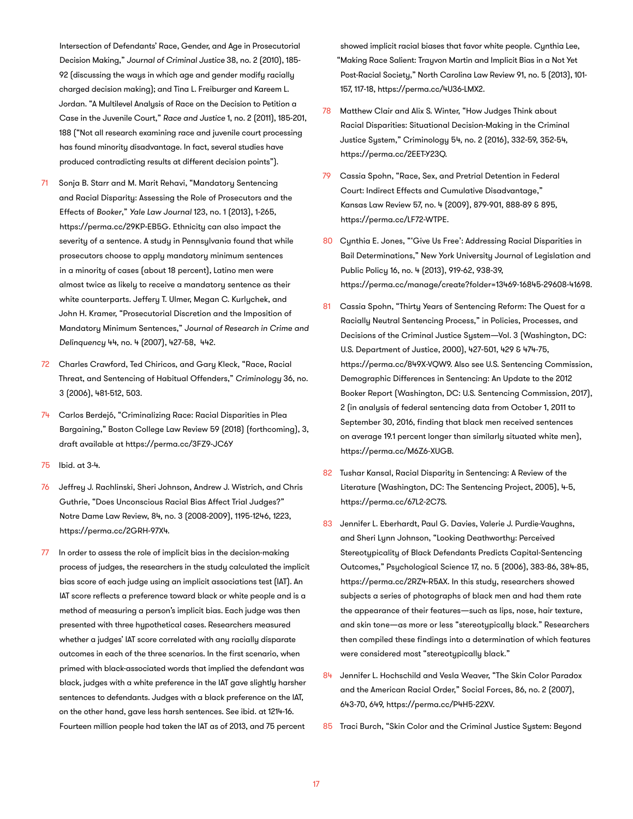Intersection of Defendants' Race, Gender, and Age in Prosecutorial Decision Making," *Journal of Criminal Justice* 38, no. 2 (2010), 185- 92 (discussing the ways in which age and gender modify racially charged decision making); and Tina L. Freiburger and Kareem L. Jordan. "A Multilevel Analysis of Race on the Decision to Petition a Case in the Juvenile Court," *Race and Justice* 1, no. 2 (2011), 185-201, 188 ("Not all research examining race and juvenile court processing has found minority disadvantage. In fact, several studies have produced contradicting results at different decision points").

- 71 Sonja B. Starr and M. Marit Rehavi, "Mandatory Sentencing and Racial Disparity: Assessing the Role of Prosecutors and the Effects of *Booker*," *Yale Law Journal* 123, no. 1 (2013), 1-265, https://perma.cc/29KP-EB5G. Ethnicity can also impact the severity of a sentence. A study in Pennsylvania found that while prosecutors choose to apply mandatory minimum sentences in a minority of cases (about 18 percent), Latino men were almost twice as likely to receive a mandatory sentence as their white counterparts. Jeffery T. Ulmer, Megan C. Kurlychek, and John H. Kramer, "Prosecutorial Discretion and the Imposition of Mandatory Minimum Sentences," *Journal of Research in Crime and Delinquency* 44, no. 4 (2007), 427-58, 442.
- 72 Charles Crawford, Ted Chiricos, and Gary Kleck, "Race, Racial Threat, and Sentencing of Habitual Offenders," *Criminology* 36, no. 3 (2006), 481-512, 503.
- 74 Carlos Berdejó, "Criminalizing Race: Racial Disparities in Plea Bargaining," Boston College Law Review 59 (2018) (forthcoming), 3, draft available at https://perma.cc/3FZ9-JC6Y
- 75 Ibid. at 3-4.
- 76 Jeffrey J. Rachlinski, Sheri Johnson, Andrew J. Wistrich, and Chris Guthrie, "Does Unconscious Racial Bias Affect Trial Judges?" Notre Dame Law Review, 84, no. 3 (2008-2009), 1195-1246, 1223, https://perma.cc/2GRH-97X4.
- 77 In order to assess the role of implicit bias in the decision-making process of judges, the researchers in the study calculated the implicit bias score of each judge using an implicit associations test (IAT). An IAT score reflects a preference toward black or white people and is a method of measuring a person's implicit bias. Each judge was then presented with three hypothetical cases. Researchers measured whether a judges' IAT score correlated with any racially disparate outcomes in each of the three scenarios. In the first scenario, when primed with black-associated words that implied the defendant was black, judges with a white preference in the IAT gave slightly harsher sentences to defendants. Judges with a black preference on the IAT, on the other hand, gave less harsh sentences. See ibid. at 1214-16. Fourteen million people had taken the IAT as of 2013, and 75 percent

showed implicit racial biases that favor white people. Cynthia Lee, "Making Race Salient: Trayvon Martin and Implicit Bias in a Not Yet Post-Racial Society," North Carolina Law Review 91, no. 5 (2013), 101- 157, 117-18, https://perma.cc/4U36-LMX2.

- 78 Matthew Clair and Alix S. Winter, "How Judges Think about Racial Disparities: Situational Decision-Making in the Criminal Justice System," Criminology 54, no. 2 (2016), 332-59, 352-54, https://perma.cc/2EET-Y23Q.
- 79 Cassia Spohn, "Race, Sex, and Pretrial Detention in Federal Court: Indirect Effects and Cumulative Disadvantage," Kansas Law Review 57, no. 4 (2009), 879-901, 888-89 & 895, https://perma.cc/LF72-WTPE.
- 80 Cynthia E. Jones, "'Give Us Free': Addressing Racial Disparities in Bail Determinations," New York University Journal of Legislation and Public Policy 16, no. 4 (2013), 919-62, 938-39, https://perma.cc/manage/create?folder=13469-16845-29608-41698.
- 81 Cassia Spohn, "Thirty Years of Sentencing Reform: The Quest for a Racially Neutral Sentencing Process," in Policies, Processes, and Decisions of the Criminal Justice System—Vol. 3 (Washington, DC: U.S. Department of Justice, 2000), 427-501, 429 & 474-75, https://perma.cc/849X-VQW9. Also see U.S. Sentencing Commission, Demographic Differences in Sentencing: An Update to the 2012 Booker Report (Washington, DC: U.S. Sentencing Commission, 2017), 2 (in analysis of federal sentencing data from October 1, 2011 to September 30, 2016, finding that black men received sentences on average 19.1 percent longer than similarly situated white men), https://perma.cc/M6Z6-XUGB.
- 82 Tushar Kansal, Racial Disparity in Sentencing: A Review of the Literature (Washington, DC: The Sentencing Project, 2005), 4-5, https://perma.cc/67L2-2C7S.
- 83 Jennifer L. Eberhardt, Paul G. Davies, Valerie J. Purdie-Vaughns, and Sheri Lynn Johnson, "Looking Deathworthy: Perceived Stereotypicality of Black Defendants Predicts Capital-Sentencing Outcomes," Psychological Science 17, no. 5 (2006), 383-86, 384-85, https://perma.cc/2RZ4-R5AX. In this study, researchers showed subjects a series of photographs of black men and had them rate the appearance of their features—such as lips, nose, hair texture, and skin tone—as more or less "stereotypically black." Researchers then compiled these findings into a determination of which features were considered most "stereotypically black."
- 84 Jennifer L. Hochschild and Vesla Weaver, "The Skin Color Paradox and the American Racial Order," Social Forces, 86, no. 2 (2007), 643-70, 649, https://perma.cc/P4H5-22XV.
- 85 Traci Burch, "Skin Color and the Criminal Justice System: Beyond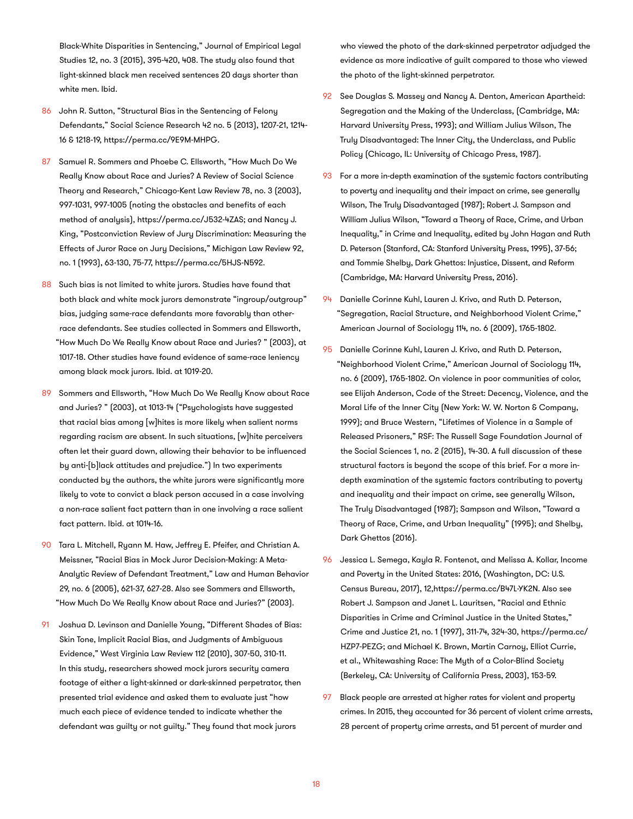Black-White Disparities in Sentencing," Journal of Empirical Legal Studies 12, no. 3 (2015), 395-420, 408. The study also found that light-skinned black men received sentences 20 days shorter than white men. Ibid.

- 86 John R. Sutton, "Structural Bias in the Sentencing of Felony Defendants," Social Science Research 42 no. 5 (2013), 1207-21, 1214- 16 & 1218-19, https://perma.cc/9E9M-MHPG.
- 87 Samuel R. Sommers and Phoebe C. Ellsworth, "How Much Do We Really Know about Race and Juries? A Review of Social Science Theory and Research," Chicago-Kent Law Review 78, no. 3 (2003), 997-1031, 997-1005 (noting the obstacles and benefits of each method of analysis), https://perma.cc/J532-4ZAS; and Nancy J. King, "Postconviction Review of Jury Discrimination: Measuring the Effects of Juror Race on Jury Decisions," Michigan Law Review 92, no. 1 (1993), 63-130, 75-77, https://perma.cc/5HJS-N592.
- 88 Such bias is not limited to white jurors. Studies have found that both black and white mock jurors demonstrate "ingroup/outgroup" bias, judging same-race defendants more favorably than otherrace defendants. See studies collected in Sommers and Ellsworth, "How Much Do We Really Know about Race and Juries? " (2003), at 1017-18. Other studies have found evidence of same-race leniency among black mock jurors. Ibid. at 1019-20.
- 89 Sommers and Ellsworth, "How Much Do We Really Know about Race and Juries? " (2003), at 1013-14 ("Psychologists have suggested that racial bias among [w]hites is more likely when salient norms regarding racism are absent. In such situations, [w]hite perceivers often let their guard down, allowing their behavior to be influenced by anti-[b]lack attitudes and prejudice.") In two experiments conducted by the authors, the white jurors were significantly more likely to vote to convict a black person accused in a case involving a non-race salient fact pattern than in one involving a race salient fact pattern. Ibid. at 1014-16.
- 90 Tara L. Mitchell, Ryann M. Haw, Jeffrey E. Pfeifer, and Christian A. Meissner, "Racial Bias in Mock Juror Decision-Making: A Meta-Analytic Review of Defendant Treatment," Law and Human Behavior 29, no. 6 (2005), 621-37, 627-28. Also see Sommers and Ellsworth, "How Much Do We Really Know about Race and Juries?" (2003).
- 91 Joshua D. Levinson and Danielle Young, "Different Shades of Bias: Skin Tone, Implicit Racial Bias, and Judgments of Ambiguous Evidence," West Virginia Law Review 112 (2010), 307-50, 310-11. In this study, researchers showed mock jurors security camera footage of either a light-skinned or dark-skinned perpetrator, then presented trial evidence and asked them to evaluate just "how much each piece of evidence tended to indicate whether the defendant was guilty or not guilty." They found that mock jurors

who viewed the photo of the dark-skinned perpetrator adjudged the evidence as more indicative of guilt compared to those who viewed the photo of the light-skinned perpetrator.

- 92 See Douglas S. Massey and Nancy A. Denton, American Apartheid: Segregation and the Making of the Underclass, (Cambridge, MA: Harvard University Press, 1993); and William Julius Wilson, The Truly Disadvantaged: The Inner City, the Underclass, and Public Policy (Chicago, IL: University of Chicago Press, 1987).
- 93 For a more in-depth examination of the systemic factors contributing to poverty and inequality and their impact on crime, see generally Wilson, The Truly Disadvantaged (1987); Robert J. Sampson and William Julius Wilson, "Toward a Theory of Race, Crime, and Urban Inequality," in Crime and Inequality, edited by John Hagan and Ruth D. Peterson (Stanford, CA: Stanford University Press, 1995), 37-56; and Tommie Shelby, Dark Ghettos: Injustice, Dissent, and Reform (Cambridge, MA: Harvard University Press, 2016).
- 94 Danielle Corinne Kuhl, Lauren J. Krivo, and Ruth D. Peterson, "Segregation, Racial Structure, and Neighborhood Violent Crime," American Journal of Sociology 114, no. 6 (2009), 1765-1802.
- 95 Danielle Corinne Kuhl, Lauren J. Krivo, and Ruth D. Peterson, "Neighborhood Violent Crime," American Journal of Sociology 114, no. 6 (2009), 1765-1802. On violence in poor communities of color, see Elijah Anderson, Code of the Street: Decency, Violence, and the Moral Life of the Inner City (New York: W. W. Norton & Company, 1999); and Bruce Western, "Lifetimes of Violence in a Sample of Released Prisoners," RSF: The Russell Sage Foundation Journal of the Social Sciences 1, no. 2 (2015), 14-30. A full discussion of these structural factors is beyond the scope of this brief. For a more indepth examination of the systemic factors contributing to poverty and inequality and their impact on crime, see generally Wilson, The Truly Disadvantaged (1987); Sampson and Wilson, "Toward a Theory of Race, Crime, and Urban Inequality" (1995); and Shelby, Dark Ghettos (2016).
- 96 Jessica L. Semega, Kayla R. Fontenot, and Melissa A. Kollar, Income and Poverty in the United States: 2016, (Washington, DC: U.S. Census Bureau, 2017), 12,https://perma.cc/B47L-YK2N. Also see Robert J. Sampson and Janet L. Lauritsen, "Racial and Ethnic Disparities in Crime and Criminal Justice in the United States," Crime and Justice 21, no. 1 (1997), 311-74, 324-30, https://perma.cc/ HZP7-PEZG; and Michael K. Brown, Martin Carnoy, Elliot Currie, et al., Whitewashing Race: The Myth of a Color-Blind Society (Berkeley, CA: University of California Press, 2003), 153-59.
- 97 Black people are arrested at higher rates for violent and property crimes. In 2015, they accounted for 36 percent of violent crime arrests, 28 percent of property crime arrests, and 51 percent of murder and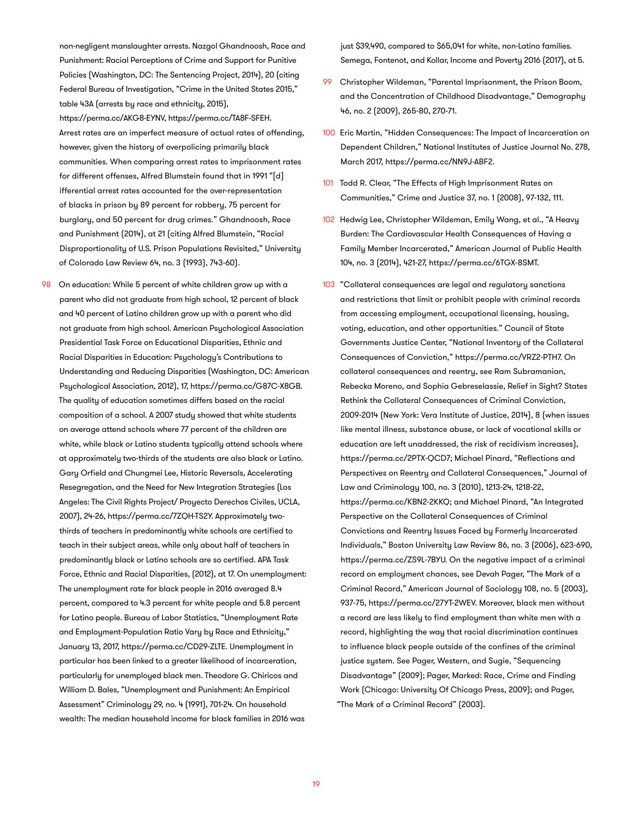non-negligent manslaughter arrests. Nazgol Ghandnoosh, Race and Punishment: Racial Perceptions of Crime and Support for Punitive Policies (Washington, DC: The Sentencing Project, 2014), 20 (citing Federal Bureau of Investigation, "Crime in the United States 2015," table 43A (arrests by race and ethnicity, 2015), https://perma.cc/AKG8-EYNV, https://perma.cc/TA8F-SFEH. Arrest rates are an imperfect measure of actual rates of offending, however, given the history of overpolicing primarily black communities. When comparing arrest rates to imprisonment rates for different offenses, Alfred Blumstein found that in 1991 "[d] ifferential arrest rates accounted for the over-representation of blacks in prison by 89 percent for robbery, 75 percent for burglary, and 50 percent for drug crimes." Ghandnoosh, Race and Punishment (2014), at 21 (citing Alfred Blumstein, "Racial Disproportionality of U.S. Prison Populations Revisited," University of Colorado Law Review 64, no. 3 (1993), 743-60).

98 On education: While 5 percent of white children grow up with a parent who did not graduate from high school, 12 percent of black and 40 percent of Latino children grow up with a parent who did not graduate from high school. American Psychological Association Presidential Task Force on Educational Disparities, Ethnic and Racial Disparities in Education: Psychology's Contributions to Understanding and Reducing Disparities (Washington, DC: American Psychological Association, 2012), 17, https://perma.cc/G87C-X8GB. The quality of education sometimes differs based on the racial composition of a school. A 2007 study showed that white students on average attend schools where 77 percent of the children are white, while black or Latino students typically attend schools where at approximately two-thirds of the students are also black or Latino. Gary Orfield and Chungmei Lee, Historic Reversals, Accelerating Resegregation, and the Need for New Integration Strategies (Los Angeles: The Civil Rights Project/ Proyecto Derechos Civiles, UCLA, 2007), 24-26, https://perma.cc/7ZQH-TS2Y. Approximately twothirds of teachers in predominantly white schools are certified to teach in their subject areas, while only about half of teachers in predominantly black or Latino schools are so certified. APA Task Force, Ethnic and Racial Disparities, (2012), at 17. On unemployment: The unemployment rate for black people in 2016 averaged 8.4 percent, compared to 4.3 percent for white people and 5.8 percent for Latino people. Bureau of Labor Statistics, "Unemployment Rate and Employment-Population Ratio Vary by Race and Ethnicity," January 13, 2017, https://perma.cc/CD29-ZLTE. Unemployment in particular has been linked to a greater likelihood of incarceration, particularly for unemployed black men. Theodore G. Chiricos and William D. Bales, "Unemployment and Punishment: An Empirical Assessment" Criminology 29, no. 4 (1991), 701-24. On household wealth: The median household income for black families in 2016 was

just \$39,490, compared to \$65,041 for white, non-Latino families. Semega, Fontenot, and Kollar, Income and Poverty 2016 (2017), at 5.

- 99 Christopher Wildeman, "Parental Imprisonment, the Prison Boom, and the Concentration of Childhood Disadvantage," Demography 46, no. 2 (2009), 265-80, 270-71.
- 100 Eric Martin, "Hidden Consequences: The Impact of Incarceration on Dependent Children," National Institutes of Justice Journal No. 278, March 2017, https://perma.cc/NN9J-ABF2.
- 101 Todd R. Clear, "The Effects of High Imprisonment Rates on Communities," Crime and Justice 37, no. 1 (2008), 97-132, 111.
- 102 Hedwig Lee, Christopher Wildeman, Emily Wang, et al., "A Heavy Burden: The Cardiovascular Health Consequences of Having a Family Member Incarcerated," American Journal of Public Health 104, no. 3 (2014), 421-27, https://perma.cc/6TGX-8SMT.
- 103 "Collateral consequences are legal and regulatory sanctions and restrictions that limit or prohibit people with criminal records from accessing employment, occupational licensing, housing, voting, education, and other opportunities." Council of State Governments Justice Center, "National Inventory of the Collateral Consequences of Conviction," https://perma.cc/VRZ2-PTH7. On collateral consequences and reentry, see Ram Subramanian, Rebecka Moreno, and Sophia Gebreselassie, Relief in Sight? States Rethink the Collateral Consequences of Criminal Conviction, 2009-2014 (New York: Vera Institute of Justice, 2014), 8 (when issues like mental illness, substance abuse, or lack of vocational skills or education are left unaddressed, the risk of recidivism increases), https://perma.cc/2PTX-QCD7; Michael Pinard, "Reflections and Perspectives on Reentry and Collateral Consequences," Journal of Law and Criminology 100, no. 3 (2010), 1213-24, 1218-22, https://perma.cc/KBN2-2KKQ; and Michael Pinard, "An Integrated Perspective on the Collateral Consequences of Criminal Convictions and Reentry Issues Faced by Formerly Incarcerated Individuals," Boston University Law Review 86, no. 3 (2006), 623-690, https://perma.cc/ZS9L-7BYU. On the negative impact of a criminal record on employment chances, see Devah Pager, "The Mark of a Criminal Record," American Journal of Sociology 108, no. 5 (2003), 937-75, https://perma.cc/27YT-2WEV. Moreover, black men without a record are less likely to find employment than white men with a record, highlighting the way that racial discrimination continues to influence black people outside of the confines of the criminal justice system. See Pager, Western, and Sugie, "Sequencing Disadvantage" (2009); Pager, Marked: Race, Crime and Finding Work (Chicago: University Of Chicago Press, 2009); and Pager, "The Mark of a Criminal Record" (2003).